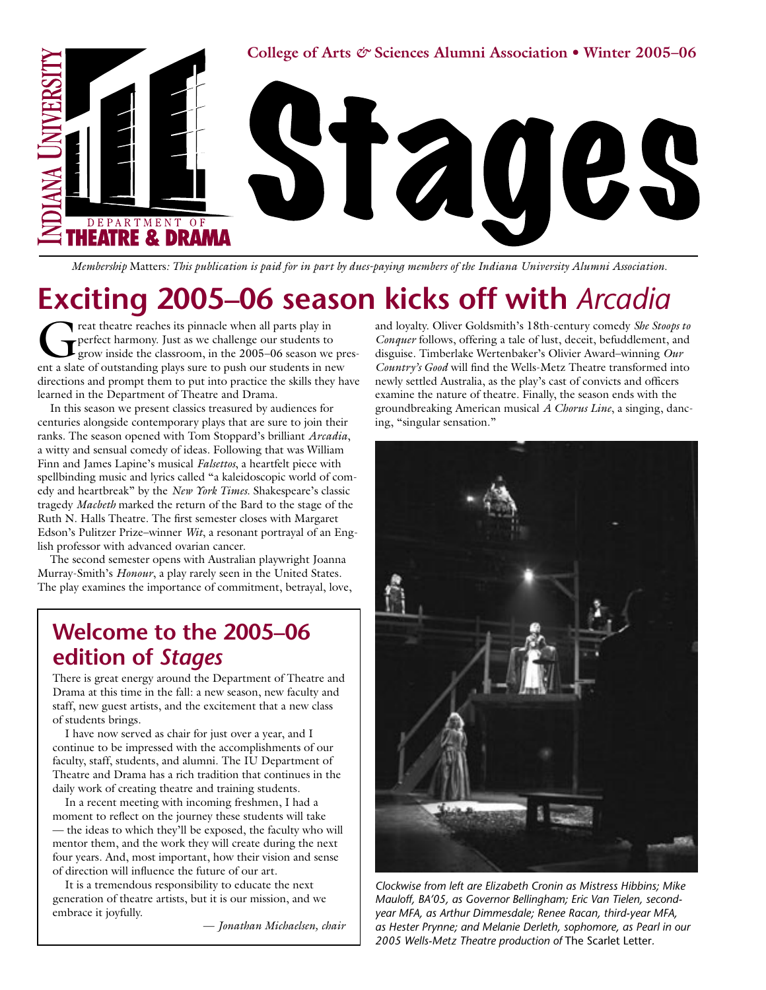

*Membership* Matters*: This publication is paid for in part by dues-paying members of the Indiana University Alumni Association.*

# **Exciting 2005–06 season kicks off with** *Arcadia*

reat theatre reaches its pinnacle when all parts play in perfect harmony. Just as we challenge our students to grow inside the classroom, in the 2005–06 season we present a slate of outstanding plays sure to push our students in new directions and prompt them to put into practice the skills they have learned in the Department of Theatre and Drama.

In this season we present classics treasured by audiences for centuries alongside contemporary plays that are sure to join their ranks. The season opened with Tom Stoppard's brilliant *Arcadia*, a witty and sensual comedy of ideas. Following that was William Finn and James Lapine's musical *Falsettos*, a heartfelt piece with spellbinding music and lyrics called "a kaleidoscopic world of comedy and heartbreak" by the *New York Times*. Shakespeare's classic tragedy *Macbeth* marked the return of the Bard to the stage of the Ruth N. Halls Theatre. The first semester closes with Margaret Edson's Pulitzer Prize–winner *Wit*, a resonant portrayal of an English professor with advanced ovarian cancer.

The second semester opens with Australian playwright Joanna Murray-Smith's *Honour*, a play rarely seen in the United States. The play examines the importance of commitment, betrayal, love,

# **Welcome to the 2005–06 edition of** *Stages*

There is great energy around the Department of Theatre and Drama at this time in the fall: a new season, new faculty and staff, new guest artists, and the excitement that a new class of students brings.

I have now served as chair for just over a year, and I continue to be impressed with the accomplishments of our faculty, staff, students, and alumni. The IU Department of Theatre and Drama has a rich tradition that continues in the daily work of creating theatre and training students.

In a recent meeting with incoming freshmen, I had a moment to reflect on the journey these students will take — the ideas to which they'll be exposed, the faculty who will mentor them, and the work they will create during the next four years. And, most important, how their vision and sense of direction will influence the future of our art.

It is a tremendous responsibility to educate the next generation of theatre artists, but it is our mission, and we embrace it joyfully.

— *Jonathan Michaelsen, chair*

and loyalty. Oliver Goldsmith's 18th-century comedy *She Stoops to Conquer* follows, offering a tale of lust, deceit, befuddlement, and disguise. Timberlake Wertenbaker's Olivier Award–winning *Our Country's Good* will find the Wells-Metz Theatre transformed into newly settled Australia, as the play's cast of convicts and officers examine the nature of theatre. Finally, the season ends with the groundbreaking American musical *A Chorus Line*, a singing, dancing, "singular sensation."



*Clockwise from left are Elizabeth Cronin as Mistress Hibbins; Mike Mauloff, BA'05, as Governor Bellingham; Eric Van Tielen, secondyear MFA, as Arthur Dimmesdale; Renee Racan, third-year MFA, as Hester Prynne; and Melanie Derleth, sophomore, as Pearl in our 2005 Wells-Metz Theatre production of* The Scarlet Letter*.*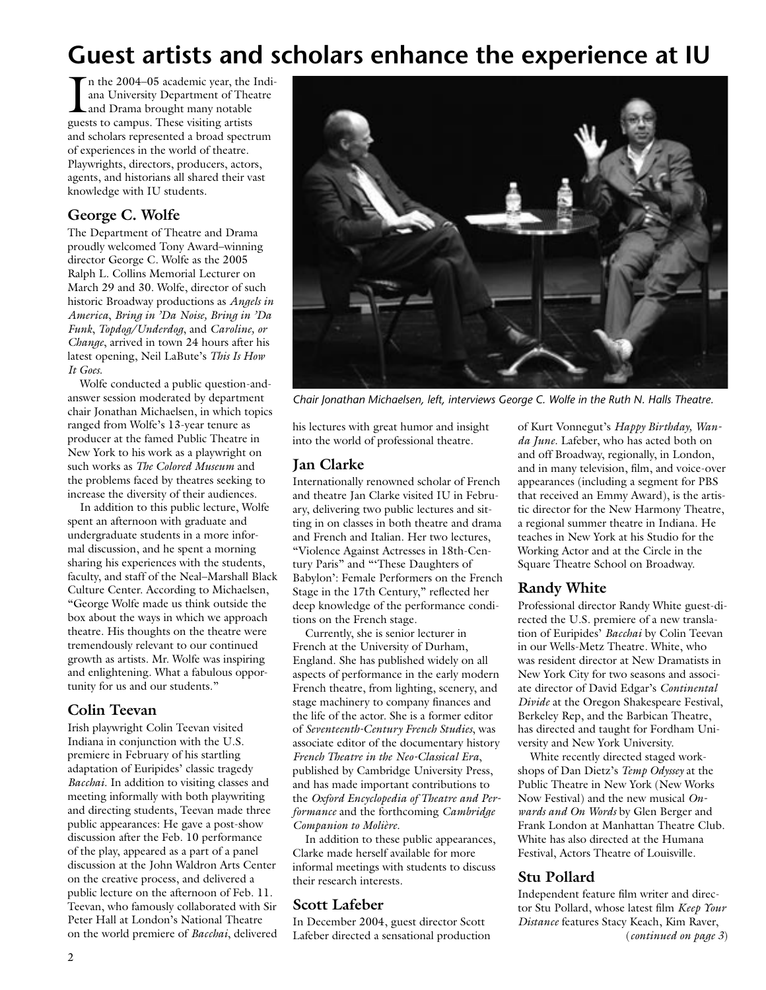# **Guest artists and scholars enhance the experience at IU**

In the 2004–05 academic year, the 1<br>and University Department of Thea<br>and Drama brought many notable<br>guests to campus. These visiting artists n the 2004–05 academic year, the Indiana University Department of Theatre guests to campus. These visiting artists and scholars represented a broad spectrum of experiences in the world of theatre. Playwrights, directors, producers, actors, agents, and historians all shared their vast knowledge with IU students.

### **George C. Wolfe**

The Department of Theatre and Drama proudly welcomed Tony Award–winning director George C. Wolfe as the 2005 Ralph L. Collins Memorial Lecturer on March 29 and 30. Wolfe, director of such historic Broadway productions as *Angels in America*, *Bring in 'Da Noise, Bring in 'Da Funk*, *Topdog/Underdog*, and *Caroline, or Change*, arrived in town 24 hours after his latest opening, Neil LaBute's *This Is How It Goes*.

Wolfe conducted a public question-andanswer session moderated by department chair Jonathan Michaelsen, in which topics ranged from Wolfe's 13-year tenure as producer at the famed Public Theatre in New York to his work as a playwright on such works as *The Colored Museum* and the problems faced by theatres seeking to increase the diversity of their audiences.

In addition to this public lecture, Wolfe spent an afternoon with graduate and undergraduate students in a more informal discussion, and he spent a morning sharing his experiences with the students, faculty, and staff of the Neal–Marshall Black Culture Center. According to Michaelsen, "George Wolfe made us think outside the box about the ways in which we approach theatre. His thoughts on the theatre were tremendously relevant to our continued growth as artists. Mr. Wolfe was inspiring and enlightening. What a fabulous opportunity for us and our students."

### **Colin Teevan**

Irish playwright Colin Teevan visited Indiana in conjunction with the U.S. premiere in February of his startling adaptation of Euripides' classic tragedy *Bacchai*. In addition to visiting classes and meeting informally with both playwriting and directing students, Teevan made three public appearances: He gave a post-show discussion after the Feb. 10 performance of the play, appeared as a part of a panel discussion at the John Waldron Arts Center on the creative process, and delivered a public lecture on the afternoon of Feb. 11. Teevan, who famously collaborated with Sir Peter Hall at London's National Theatre on the world premiere of *Bacchai*, delivered



*Chair Jonathan Michaelsen, left, interviews George C. Wolfe in the Ruth N. Halls Theatre.*

his lectures with great humor and insight into the world of professional theatre.

### **Jan Clarke**

Internationally renowned scholar of French and theatre Jan Clarke visited IU in February, delivering two public lectures and sitting in on classes in both theatre and drama and French and Italian. Her two lectures, "Violence Against Actresses in 18th-Century Paris" and "'These Daughters of Babylon': Female Performers on the French Stage in the 17th Century," reflected her deep knowledge of the performance conditions on the French stage.

Currently, she is senior lecturer in French at the University of Durham, England. She has published widely on all aspects of performance in the early modern French theatre, from lighting, scenery, and stage machinery to company finances and the life of the actor. She is a former editor of *Seventeenth-Century French Studies*, was associate editor of the documentary history *French Theatre in the Neo-Classical Era*, published by Cambridge University Press, and has made important contributions to the *Oxford Encyclopedia of Theatre and Performance* and the forthcoming *Cambridge Companion to Molière*.

In addition to these public appearances, Clarke made herself available for more informal meetings with students to discuss their research interests.

#### **Scott Lafeber**

In December 2004, guest director Scott Lafeber directed a sensational production of Kurt Vonnegut's *Happy Birthday, Wanda June*. Lafeber, who has acted both on and off Broadway, regionally, in London, and in many television, film, and voice-over appearances (including a segment for PBS that received an Emmy Award), is the artistic director for the New Harmony Theatre, a regional summer theatre in Indiana. He teaches in New York at his Studio for the Working Actor and at the Circle in the Square Theatre School on Broadway.

## **Randy White**

Professional director Randy White guest-directed the U.S. premiere of a new translation of Euripides' *Bacchai* by Colin Teevan in our Wells-Metz Theatre. White, who was resident director at New Dramatists in New York City for two seasons and associate director of David Edgar's *Continental Divide* at the Oregon Shakespeare Festival, Berkeley Rep, and the Barbican Theatre, has directed and taught for Fordham University and New York University.

White recently directed staged workshops of Dan Dietz's *Temp Odyssey* at the Public Theatre in New York (New Works Now Festival) and the new musical *Onwards and On Words* by Glen Berger and Frank London at Manhattan Theatre Club. White has also directed at the Humana Festival, Actors Theatre of Louisville.

### **Stu Pollard**

Independent feature film writer and director Stu Pollard, whose latest film *Keep Your Distance* features Stacy Keach, Kim Raver, (*continued on page 3*)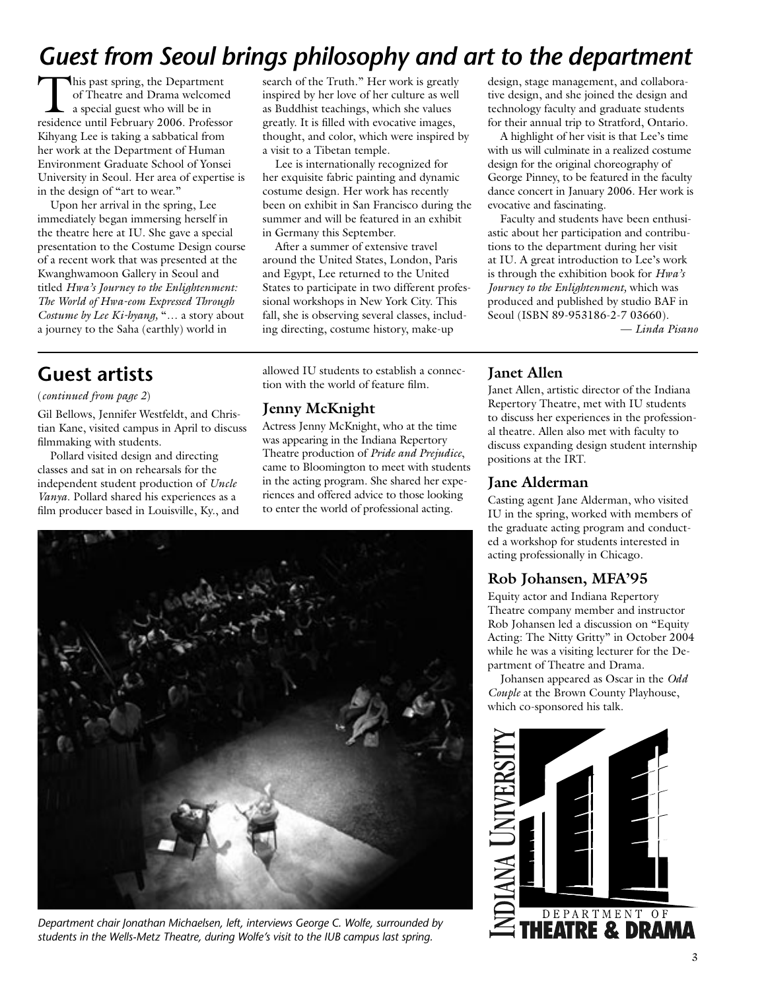# *Guest from Seoul brings philosophy and art to the department*

This past spring, the Department of Theatre and Drama welcomed a special guest who will be in residence until February 2006. Professor Kihyang Lee is taking a sabbatical from her work at the Department of Human Environment Graduate School of Yonsei University in Seoul. Her area of expertise is in the design of "art to wear."

Upon her arrival in the spring, Lee immediately began immersing herself in the theatre here at IU. She gave a special presentation to the Costume Design course of a recent work that was presented at the Kwanghwamoon Gallery in Seoul and titled *Hwa's Journey to the Enlightenment: The World of Hwa-eom Expressed Through Costume by Lee Ki-hyang,* "… a story about a journey to the Saha (earthly) world in

search of the Truth." Her work is greatly inspired by her love of her culture as well as Buddhist teachings, which she values greatly. It is filled with evocative images, thought, and color, which were inspired by a visit to a Tibetan temple.

Lee is internationally recognized for her exquisite fabric painting and dynamic costume design. Her work has recently been on exhibit in San Francisco during the summer and will be featured in an exhibit in Germany this September.

After a summer of extensive travel around the United States, London, Paris and Egypt, Lee returned to the United States to participate in two different professional workshops in New York City. This fall, she is observing several classes, including directing, costume history, make-up

design, stage management, and collaborative design, and she joined the design and technology faculty and graduate students for their annual trip to Stratford, Ontario.

A highlight of her visit is that Lee's time with us will culminate in a realized costume design for the original choreography of George Pinney, to be featured in the faculty dance concert in January 2006. Her work is evocative and fascinating.

Faculty and students have been enthusiastic about her participation and contributions to the department during her visit at IU. A great introduction to Lee's work is through the exhibition book for *Hwa's Journey to the Enlightenment,* which was produced and published by studio BAF in Seoul (ISBN 89-953186-2-7 03660).

— *Linda Pisano*

## **Guest artists**

#### (*continued from page 2*)

Gil Bellows, Jennifer Westfeldt, and Christian Kane, visited campus in April to discuss filmmaking with students.

Pollard visited design and directing classes and sat in on rehearsals for the independent student production of *Uncle Vanya*. Pollard shared his experiences as a film producer based in Louisville, Ky., and allowed IU students to establish a connection with the world of feature film.

#### **Jenny McKnight**

Actress Jenny McKnight, who at the time was appearing in the Indiana Repertory Theatre production of *Pride and Prejudice*, came to Bloomington to meet with students in the acting program. She shared her experiences and offered advice to those looking to enter the world of professional acting.



*Department chair Jonathan Michaelsen, left, interviews George C. Wolfe, surrounded by students in the Wells-Metz Theatre, during Wolfe's visit to the IUB campus last spring.*

#### **Janet Allen**

Janet Allen, artistic director of the Indiana Repertory Theatre, met with IU students to discuss her experiences in the professional theatre. Allen also met with faculty to discuss expanding design student internship positions at the IRT.

#### **Jane Alderman**

Casting agent Jane Alderman, who visited IU in the spring, worked with members of the graduate acting program and conducted a workshop for students interested in acting professionally in Chicago.

## **Rob Johansen, MFA'95**

Equity actor and Indiana Repertory Theatre company member and instructor Rob Johansen led a discussion on "Equity Acting: The Nitty Gritty" in October 2004 while he was a visiting lecturer for the Department of Theatre and Drama.

Johansen appeared as Oscar in the *Odd Couple* at the Brown County Playhouse, which co-sponsored his talk.

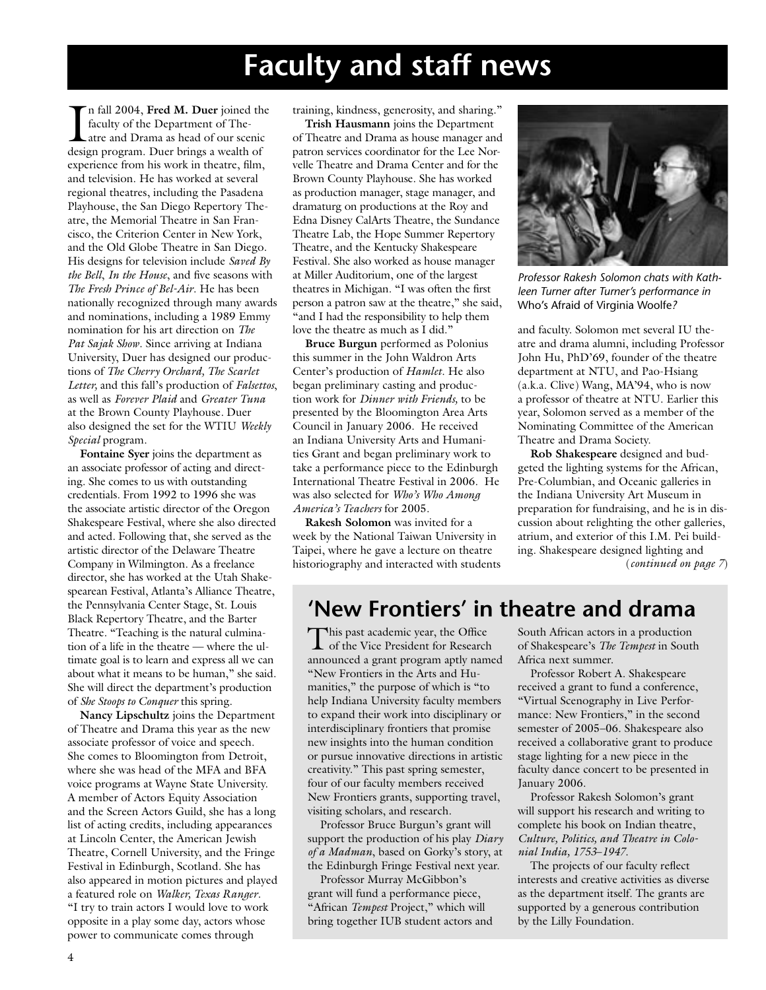# **Faculty and staff news**

In fall 2004, Fred M. Duer joined the faculty of the Department of The-<br>atre and Drama as head of our scenic<br>design program. Duer brings a wealth of n fall 2004, **Fred M. Duer** joined the faculty of the Department of Theatre and Drama as head of our scenic experience from his work in theatre, film, and television. He has worked at several regional theatres, including the Pasadena Playhouse, the San Diego Repertory Theatre, the Memorial Theatre in San Francisco, the Criterion Center in New York, and the Old Globe Theatre in San Diego. His designs for television include *Saved By the Bell*, *In the House*, and five seasons with *The Fresh Prince of Bel-Air*. He has been nationally recognized through many awards and nominations, including a 1989 Emmy nomination for his art direction on *The Pat Sajak Show*. Since arriving at Indiana University, Duer has designed our productions of *The Cherry Orchard, The Scarlet Letter,* and this fall's production of *Falsettos*, as well as *Forever Plaid* and *Greater Tuna* at the Brown County Playhouse*.* Duer also designed the set for the WTIU *Weekly Special* program.

**Fontaine Syer** joins the department as an associate professor of acting and directing. She comes to us with outstanding credentials. From 1992 to 1996 she was the associate artistic director of the Oregon Shakespeare Festival, where she also directed and acted. Following that, she served as the artistic director of the Delaware Theatre Company in Wilmington. As a freelance director, she has worked at the Utah Shakespearean Festival, Atlanta's Alliance Theatre, the Pennsylvania Center Stage, St. Louis Black Repertory Theatre, and the Barter Theatre. "Teaching is the natural culmination of a life in the theatre — where the ultimate goal is to learn and express all we can about what it means to be human," she said. She will direct the department's production of *She Stoops to Conquer* this spring.

**Nancy Lipschultz** joins the Department of Theatre and Drama this year as the new associate professor of voice and speech. She comes to Bloomington from Detroit, where she was head of the MFA and BFA voice programs at Wayne State University. A member of Actors Equity Association and the Screen Actors Guild, she has a long list of acting credits, including appearances at Lincoln Center, the American Jewish Theatre, Cornell University, and the Fringe Festival in Edinburgh, Scotland. She has also appeared in motion pictures and played a featured role on *Walker, Texas Ranger*. "I try to train actors I would love to work opposite in a play some day, actors whose power to communicate comes through

training, kindness, generosity, and sharing."

**Trish Hausmann** joins the Department of Theatre and Drama as house manager and patron services coordinator for the Lee Norvelle Theatre and Drama Center and for the Brown County Playhouse. She has worked as production manager, stage manager, and dramaturg on productions at the Roy and Edna Disney CalArts Theatre, the Sundance Theatre Lab, the Hope Summer Repertory Theatre, and the Kentucky Shakespeare Festival. She also worked as house manager at Miller Auditorium, one of the largest theatres in Michigan. "I was often the first person a patron saw at the theatre," she said, "and I had the responsibility to help them love the theatre as much as I did."

**Bruce Burgun** performed as Polonius this summer in the John Waldron Arts Center's production of *Hamlet*. He also began preliminary casting and production work for *Dinner with Friends,* to be presented by the Bloomington Area Arts Council in January 2006. He received an Indiana University Arts and Humanities Grant and began preliminary work to take a performance piece to the Edinburgh International Theatre Festival in 2006. He was also selected for *Who's Who Among America's Teachers* for 2005.

**Rakesh Solomon** was invited for a week by the National Taiwan University in Taipei, where he gave a lecture on theatre historiography and interacted with students



*Professor Rakesh Solomon chats with Kathleen Turner after Turner's performance in*  Who's Afraid of Virginia Woolfe*?*

and faculty. Solomon met several IU theatre and drama alumni, including Professor John Hu, PhD'69, founder of the theatre department at NTU, and Pao-Hsiang (a.k.a. Clive) Wang, MA'94, who is now a professor of theatre at NTU. Earlier this year, Solomon served as a member of the Nominating Committee of the American Theatre and Drama Society.

**Rob Shakespeare** designed and budgeted the lighting systems for the African, Pre-Columbian, and Oceanic galleries in the Indiana University Art Museum in preparation for fundraising, and he is in discussion about relighting the other galleries, atrium, and exterior of this I.M. Pei building. Shakespeare designed lighting and (*continued on page 7*)

# **'New Frontiers' in theatre and drama**

This past academic year, the Office **L** of the Vice President for Research announced a grant program aptly named "New Frontiers in the Arts and Humanities," the purpose of which is "to help Indiana University faculty members to expand their work into disciplinary or interdisciplinary frontiers that promise new insights into the human condition or pursue innovative directions in artistic creativity." This past spring semester, four of our faculty members received New Frontiers grants, supporting travel, visiting scholars, and research.

Professor Bruce Burgun's grant will support the production of his play *Diary of a Madman*, based on Gorky's story, at the Edinburgh Fringe Festival next year.

Professor Murray McGibbon's grant will fund a performance piece, "African *Tempest* Project," which will bring together IUB student actors and

South African actors in a production of Shakespeare's *The Tempest* in South Africa next summer.

Professor Robert A. Shakespeare received a grant to fund a conference, "Virtual Scenography in Live Performance: New Frontiers," in the second semester of 2005–06. Shakespeare also received a collaborative grant to produce stage lighting for a new piece in the faculty dance concert to be presented in January 2006.

Professor Rakesh Solomon's grant will support his research and writing to complete his book on Indian theatre, *Culture, Politics, and Theatre in Colonial India, 1753*–*1947*.

The projects of our faculty reflect interests and creative activities as diverse as the department itself. The grants are supported by a generous contribution by the Lilly Foundation.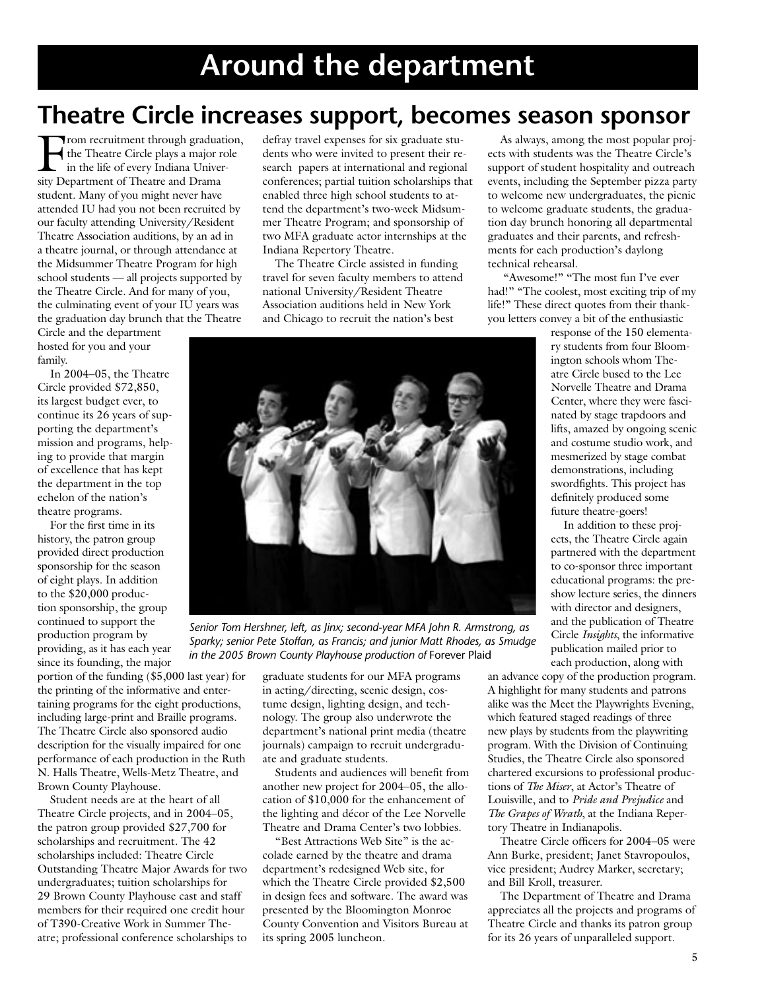# **Theatre Circle increases support, becomes season sponsor**

From recruitment through graduation, the Theatre Circle plays a major role in the life of every Indiana University Department of Theatre and Drama student. Many of you might never have attended IU had you not been recruited by our faculty attending University/Resident Theatre Association auditions, by an ad in a theatre journal, or through attendance at the Midsummer Theatre Program for high school students — all projects supported by the Theatre Circle. And for many of you, the culminating event of your IU years was the graduation day brunch that the Theatre

Circle and the department hosted for you and your family.

In 2004–05, the Theatre Circle provided \$72,850, its largest budget ever, to continue its 26 years of supporting the department's mission and programs, helping to provide that margin of excellence that has kept the department in the top echelon of the nation's theatre programs.

For the first time in its history, the patron group provided direct production sponsorship for the season of eight plays. In addition to the \$20,000 production sponsorship, the group continued to support the production program by providing, as it has each year since its founding, the major

portion of the funding (\$5,000 last year) for the printing of the informative and entertaining programs for the eight productions, including large-print and Braille programs. The Theatre Circle also sponsored audio description for the visually impaired for one performance of each production in the Ruth N. Halls Theatre, Wells-Metz Theatre, and Brown County Playhouse.

Student needs are at the heart of all Theatre Circle projects, and in 2004–05, the patron group provided \$27,700 for scholarships and recruitment. The 42 scholarships included: Theatre Circle Outstanding Theatre Major Awards for two undergraduates; tuition scholarships for 29 Brown County Playhouse cast and staff members for their required one credit hour of T390-Creative Work in Summer Theatre; professional conference scholarships to defray travel expenses for six graduate students who were invited to present their research papers at international and regional conferences; partial tuition scholarships that enabled three high school students to attend the department's two-week Midsummer Theatre Program; and sponsorship of two MFA graduate actor internships at the Indiana Repertory Theatre.

The Theatre Circle assisted in funding travel for seven faculty members to attend national University/Resident Theatre Association auditions held in New York and Chicago to recruit the nation's best



*Senior Tom Hershner, left, as Jinx; second-year MFA John R. Armstrong, as Sparky; senior Pete Stoffan, as Francis; and junior Matt Rhodes, as Smudge in the 2005 Brown County Playhouse production of* Forever Plaid

graduate students for our MFA programs in acting/directing, scenic design, costume design, lighting design, and technology. The group also underwrote the department's national print media (theatre journals) campaign to recruit undergraduate and graduate students.

Students and audiences will benefit from another new project for 2004–05, the allocation of \$10,000 for the enhancement of the lighting and décor of the Lee Norvelle Theatre and Drama Center's two lobbies.

"Best Attractions Web Site" is the accolade earned by the theatre and drama department's redesigned Web site, for which the Theatre Circle provided \$2,500 in design fees and software. The award was presented by the Bloomington Monroe County Convention and Visitors Bureau at its spring 2005 luncheon.

As always, among the most popular projects with students was the Theatre Circle's support of student hospitality and outreach events, including the September pizza party to welcome new undergraduates, the picnic to welcome graduate students, the graduation day brunch honoring all departmental graduates and their parents, and refreshments for each production's daylong technical rehearsal.

 "Awesome!" "The most fun I've ever had!" "The coolest, most exciting trip of my life!" These direct quotes from their thankyou letters convey a bit of the enthusiastic

> response of the 150 elementary students from four Bloomington schools whom Theatre Circle bused to the Lee Norvelle Theatre and Drama Center, where they were fascinated by stage trapdoors and lifts, amazed by ongoing scenic and costume studio work, and mesmerized by stage combat demonstrations, including swordfights. This project has definitely produced some future theatre-goers!

> In addition to these projects, the Theatre Circle again partnered with the department to co-sponsor three important educational programs: the preshow lecture series, the dinners with director and designers, and the publication of Theatre Circle *Insights*, the informative publication mailed prior to each production, along with

an advance copy of the production program. A highlight for many students and patrons alike was the Meet the Playwrights Evening, which featured staged readings of three new plays by students from the playwriting program. With the Division of Continuing Studies, the Theatre Circle also sponsored chartered excursions to professional productions of *The Miser*, at Actor's Theatre of Louisville, and to *Pride and Prejudice* and *The Grapes of Wrath*, at the Indiana Repertory Theatre in Indianapolis.

Theatre Circle officers for 2004–05 were Ann Burke, president; Janet Stavropoulos, vice president; Audrey Marker, secretary; and Bill Kroll, treasurer.

The Department of Theatre and Drama appreciates all the projects and programs of Theatre Circle and thanks its patron group for its 26 years of unparalleled support.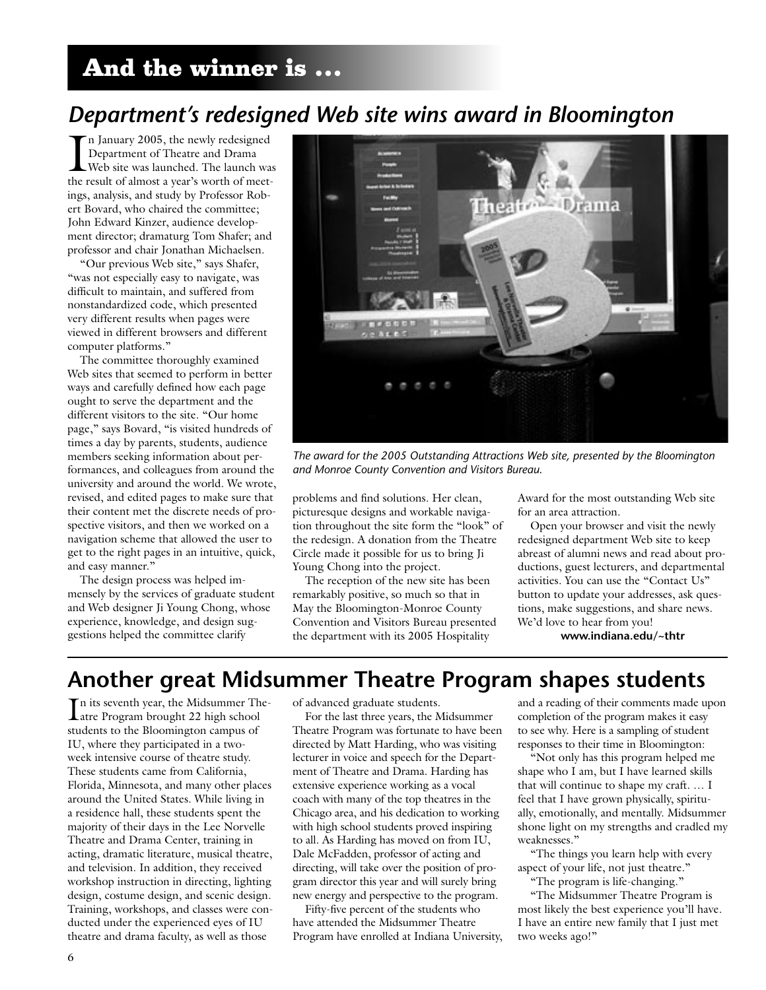# And the winner is …

# *Department's redesigned Web site wins award in Bloomington*

In January 2005, the newly redesigned<br>Department of Theatre and Drama<br>Web site was launched. The launch was<br>the result of almost a year's worth of meetn January 2005, the newly redesigned Department of Theatre and Drama Web site was launched. The launch was ings, analysis, and study by Professor Robert Bovard, who chaired the committee; John Edward Kinzer, audience development director; dramaturg Tom Shafer; and professor and chair Jonathan Michaelsen.

"Our previous Web site," says Shafer, "was not especially easy to navigate, was difficult to maintain, and suffered from nonstandardized code, which presented very different results when pages were viewed in different browsers and different computer platforms."

The committee thoroughly examined Web sites that seemed to perform in better ways and carefully defined how each page ought to serve the department and the different visitors to the site. "Our home page," says Bovard, "is visited hundreds of times a day by parents, students, audience members seeking information about performances, and colleagues from around the university and around the world. We wrote, revised, and edited pages to make sure that their content met the discrete needs of prospective visitors, and then we worked on a navigation scheme that allowed the user to get to the right pages in an intuitive, quick, and easy manner."

The design process was helped immensely by the services of graduate student and Web designer Ji Young Chong, whose experience, knowledge, and design suggestions helped the committee clarify



*The award for the 2005 Outstanding Attractions Web site, presented by the Bloomington and Monroe County Convention and Visitors Bureau.*

problems and find solutions. Her clean, picturesque designs and workable navigation throughout the site form the "look" of the redesign. A donation from the Theatre Circle made it possible for us to bring Ji Young Chong into the project.

The reception of the new site has been remarkably positive, so much so that in May the Bloomington-Monroe County Convention and Visitors Bureau presented the department with its 2005 Hospitality

Award for the most outstanding Web site for an area attraction.

Open your browser and visit the newly redesigned department Web site to keep abreast of alumni news and read about productions, guest lecturers, and departmental activities. You can use the "Contact Us" button to update your addresses, ask questions, make suggestions, and share news. We'd love to hear from you!

**www.indiana.edu/~thtr**

## **Another great Midsummer Theatre Program shapes students**

In its seventh year, the Midsummer The-<br>Latre Program brought 22 high school atre Program brought 22 high school students to the Bloomington campus of IU, where they participated in a twoweek intensive course of theatre study. These students came from California, Florida, Minnesota, and many other places around the United States. While living in a residence hall, these students spent the majority of their days in the Lee Norvelle Theatre and Drama Center, training in acting, dramatic literature, musical theatre, and television. In addition, they received workshop instruction in directing, lighting design, costume design, and scenic design. Training, workshops, and classes were conducted under the experienced eyes of IU theatre and drama faculty, as well as those

of advanced graduate students.

For the last three years, the Midsummer Theatre Program was fortunate to have been directed by Matt Harding, who was visiting lecturer in voice and speech for the Department of Theatre and Drama. Harding has extensive experience working as a vocal coach with many of the top theatres in the Chicago area, and his dedication to working with high school students proved inspiring to all. As Harding has moved on from IU, Dale McFadden, professor of acting and directing, will take over the position of program director this year and will surely bring new energy and perspective to the program.

Fifty-five percent of the students who have attended the Midsummer Theatre Program have enrolled at Indiana University, and a reading of their comments made upon completion of the program makes it easy to see why. Here is a sampling of student responses to their time in Bloomington:

"Not only has this program helped me shape who I am, but I have learned skills that will continue to shape my craft. … I feel that I have grown physically, spiritually, emotionally, and mentally. Midsummer shone light on my strengths and cradled my weaknesses."

"The things you learn help with every aspect of your life, not just theatre." "The program is life-changing."

"The Midsummer Theatre Program is most likely the best experience you'll have. I have an entire new family that I just met two weeks ago!"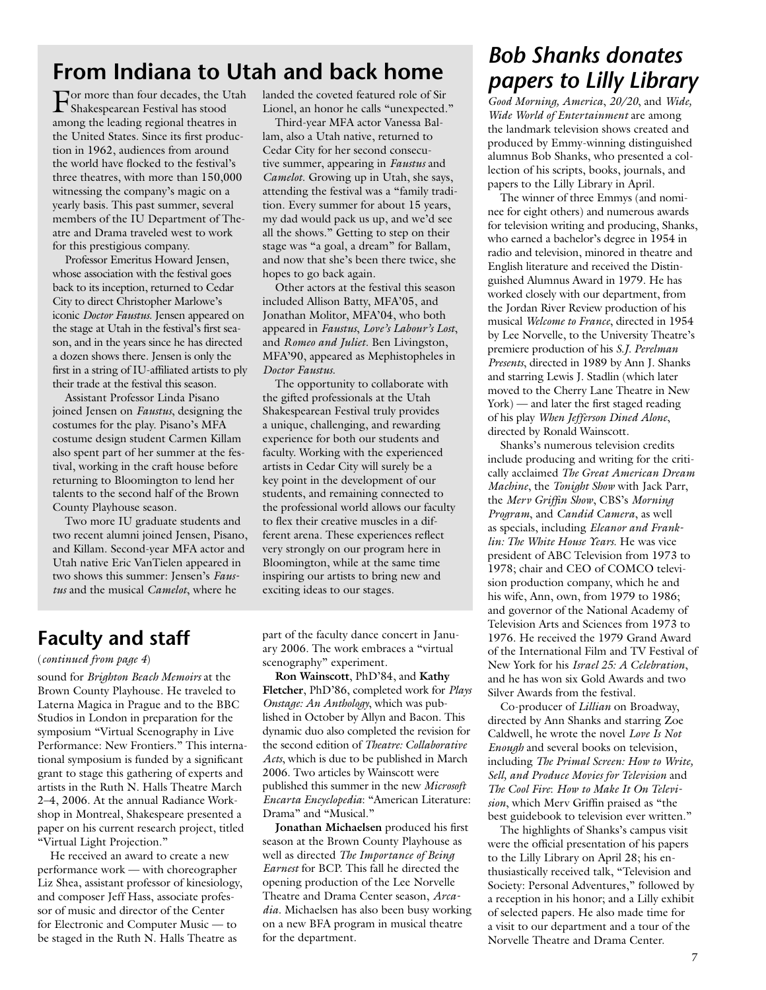# **From Indiana to Utah and back home**

For more than four decades, the Utah Shakespearean Festival has stood among the leading regional theatres in the United States. Since its first production in 1962, audiences from around the world have flocked to the festival's three theatres, with more than 150,000 witnessing the company's magic on a yearly basis. This past summer, several members of the IU Department of Theatre and Drama traveled west to work for this prestigious company.

Professor Emeritus Howard Jensen, whose association with the festival goes back to its inception, returned to Cedar City to direct Christopher Marlowe's iconic *Doctor Faustus*. Jensen appeared on the stage at Utah in the festival's first season, and in the years since he has directed a dozen shows there. Jensen is only the first in a string of IU-affiliated artists to ply their trade at the festival this season.

Assistant Professor Linda Pisano joined Jensen on *Faustus*, designing the costumes for the play. Pisano's MFA costume design student Carmen Killam also spent part of her summer at the festival, working in the craft house before returning to Bloomington to lend her talents to the second half of the Brown County Playhouse season.

Two more IU graduate students and two recent alumni joined Jensen, Pisano, and Killam. Second-year MFA actor and Utah native Eric VanTielen appeared in two shows this summer: Jensen's *Faustus* and the musical *Camelot*, where he

landed the coveted featured role of Sir Lionel, an honor he calls "unexpected."

Third-year MFA actor Vanessa Ballam, also a Utah native, returned to Cedar City for her second consecutive summer, appearing in *Faustus* and *Camelot*. Growing up in Utah, she says, attending the festival was a "family tradition. Every summer for about 15 years, my dad would pack us up, and we'd see all the shows." Getting to step on their stage was "a goal, a dream" for Ballam, and now that she's been there twice, she hopes to go back again.

Other actors at the festival this season included Allison Batty, MFA'05, and Jonathan Molitor, MFA'04, who both appeared in *Faustus*, *Love's Labour's Lost*, and *Romeo and Juliet*. Ben Livingston, MFA'90, appeared as Mephistopheles in *Doctor Faustus*.

The opportunity to collaborate with the gifted professionals at the Utah Shakespearean Festival truly provides a unique, challenging, and rewarding experience for both our students and faculty. Working with the experienced artists in Cedar City will surely be a key point in the development of our students, and remaining connected to the professional world allows our faculty to flex their creative muscles in a different arena. These experiences reflect very strongly on our program here in Bloomington, while at the same time inspiring our artists to bring new and exciting ideas to our stages.

## **Faculty and staff**

#### (*continued from page 4*)

sound for *Brighton Beach Memoirs* at the Brown County Playhouse. He traveled to Laterna Magica in Prague and to the BBC Studios in London in preparation for the symposium "Virtual Scenography in Live Performance: New Frontiers." This international symposium is funded by a significant grant to stage this gathering of experts and artists in the Ruth N. Halls Theatre March 2–4, 2006. At the annual Radiance Workshop in Montreal, Shakespeare presented a paper on his current research project, titled "Virtual Light Projection."

He received an award to create a new performance work — with choreographer Liz Shea, assistant professor of kinesiology, and composer Jeff Hass, associate professor of music and director of the Center for Electronic and Computer Music — to be staged in the Ruth N. Halls Theatre as

part of the faculty dance concert in January 2006. The work embraces a "virtual scenography" experiment.

**Ron Wainscott**, PhD'84, and **Kathy Fletcher**, PhD'86, completed work for *Plays Onstage: An Anthology*, which was published in October by Allyn and Bacon. This dynamic duo also completed the revision for the second edition of *Theatre: Collaborative Acts*, which is due to be published in March 2006. Two articles by Wainscott were published this summer in the new *Microsoft Encarta Encyclopedia*: "American Literature: Drama" and "Musical."

**Jonathan Michaelsen** produced his first season at the Brown County Playhouse as well as directed *The Importance of Being Earnest* for BCP. This fall he directed the opening production of the Lee Norvelle Theatre and Drama Center season, *Arcadia*. Michaelsen has also been busy working on a new BFA program in musical theatre for the department.

## *Bob Shanks donates papers to Lilly Library*

*Good Morning, America*, *20/20*, and *Wide, Wide World of Entertainment* are among the landmark television shows created and produced by Emmy-winning distinguished alumnus Bob Shanks, who presented a collection of his scripts, books, journals, and papers to the Lilly Library in April.

The winner of three Emmys (and nominee for eight others) and numerous awards for television writing and producing, Shanks, who earned a bachelor's degree in 1954 in radio and television, minored in theatre and English literature and received the Distinguished Alumnus Award in 1979. He has worked closely with our department, from the Jordan River Review production of his musical *Welcome to France*, directed in 1954 by Lee Norvelle, to the University Theatre's premiere production of his *S.J. Perelman Presents*, directed in 1989 by Ann J. Shanks and starring Lewis J. Stadlin (which later moved to the Cherry Lane Theatre in New York) — and later the first staged reading of his play *When Jefferson Dined Alone*, directed by Ronald Wainscott.

Shanks's numerous television credits include producing and writing for the critically acclaimed *The Great American Dream Machine*, the *Tonight Show* with Jack Parr, the *Merv Griffin Show*, CBS's *Morning Program*, and *Candid Camera*, as well as specials, including *Eleanor and Franklin: The White House Years*. He was vice president of ABC Television from 1973 to 1978; chair and CEO of COMCO television production company, which he and his wife, Ann, own, from 1979 to 1986; and governor of the National Academy of Television Arts and Sciences from 1973 to 1976. He received the 1979 Grand Award of the International Film and TV Festival of New York for his *Israel 25: A Celebration*, and he has won six Gold Awards and two Silver Awards from the festival.

Co-producer of *Lillian* on Broadway, directed by Ann Shanks and starring Zoe Caldwell, he wrote the novel *Love Is Not Enough* and several books on television, including *The Primal Screen: How to Write, Sell, and Produce Movies for Television* and *The Cool Fire*: *How to Make It On Television*, which Merv Griffin praised as "the best guidebook to television ever written."

The highlights of Shanks's campus visit were the official presentation of his papers to the Lilly Library on April 28; his enthusiastically received talk, "Television and Society: Personal Adventures," followed by a reception in his honor; and a Lilly exhibit of selected papers. He also made time for a visit to our department and a tour of the Norvelle Theatre and Drama Center.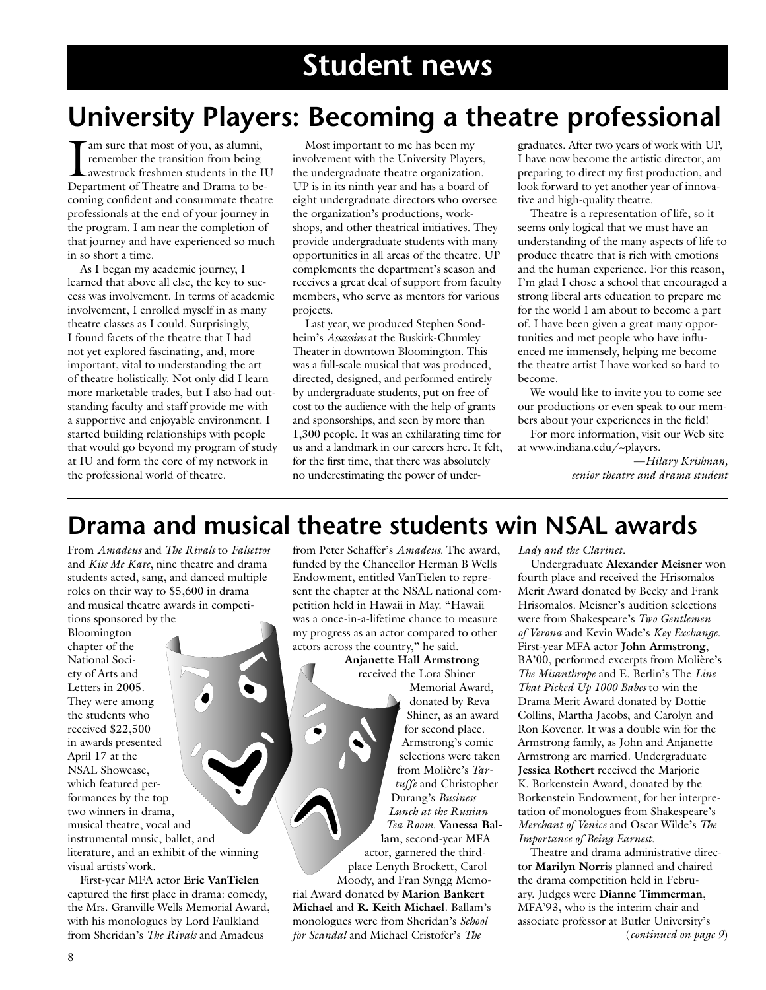# **Student news**

# **University Players: Becoming a theatre professional**

am sure that most of you, as alumni, remember the transition from being awestruck freshmen students in the IU Department of Theatre and Drama to becoming confident and consummate theatre professionals at the end of your journey in the program. I am near the completion of that journey and have experienced so much in so short a time.

As I began my academic journey, I learned that above all else, the key to success was involvement. In terms of academic involvement, I enrolled myself in as many theatre classes as I could. Surprisingly, I found facets of the theatre that I had not yet explored fascinating, and, more important, vital to understanding the art of theatre holistically. Not only did I learn more marketable trades, but I also had outstanding faculty and staff provide me with a supportive and enjoyable environment. I started building relationships with people that would go beyond my program of study at IU and form the core of my network in the professional world of theatre.

Most important to me has been my involvement with the University Players, the undergraduate theatre organization. UP is in its ninth year and has a board of eight undergraduate directors who oversee the organization's productions, workshops, and other theatrical initiatives. They provide undergraduate students with many opportunities in all areas of the theatre. UP complements the department's season and receives a great deal of support from faculty members, who serve as mentors for various projects.

Last year, we produced Stephen Sondheim's *Assassins* at the Buskirk-Chumley Theater in downtown Bloomington. This was a full-scale musical that was produced, directed, designed, and performed entirely by undergraduate students, put on free of cost to the audience with the help of grants and sponsorships, and seen by more than 1,300 people. It was an exhilarating time for us and a landmark in our careers here. It felt, for the first time, that there was absolutely no underestimating the power of undergraduates. After two years of work with UP, I have now become the artistic director, am preparing to direct my first production, and look forward to yet another year of innovative and high-quality theatre.

Theatre is a representation of life, so it seems only logical that we must have an understanding of the many aspects of life to produce theatre that is rich with emotions and the human experience. For this reason, I'm glad I chose a school that encouraged a strong liberal arts education to prepare me for the world I am about to become a part of. I have been given a great many opportunities and met people who have influenced me immensely, helping me become the theatre artist I have worked so hard to become.

We would like to invite you to come see our productions or even speak to our members about your experiences in the field!

For more information, visit our Web site at www.indiana.edu/~players.

> —*Hilary Krishnan, senior theatre and drama student*

# **Drama and musical theatre students win NSAL awards**

From *Amadeus* and *The Rivals* to *Falsettos* and *Kiss Me Kate*, nine theatre and drama students acted, sang, and danced multiple roles on their way to \$5,600 in drama and musical theatre awards in competitions sponsored by the

Bloomington chapter of the National Society of Arts and Letters in 2005. They were among the students who received \$22,500 in awards presented April 17 at the NSAL Showcase, which featured performances by the top two winners in drama, musical theatre, vocal and instrumental music, ballet, and literature, and an exhibit of the winning visual artists'work.

First-year MFA actor **Eric VanTielen** captured the first place in drama: comedy, the Mrs. Granville Wells Memorial Award, with his monologues by Lord Faulkland from Sheridan's *The Rivals* and Amadeus

from Peter Schaffer's *Amadeus.* The award, funded by the Chancellor Herman B Wells Endowment, entitled VanTielen to represent the chapter at the NSAL national competition held in Hawaii in May. "Hawaii was a once-in-a-lifetime chance to measure my progress as an actor compared to other actors across the country," he said.

#### **Anjanette Hall Armstrong** received the Lora Shiner

Memorial Award, donated by Reva Shiner, as an award for second place. Armstrong's comic selections were taken from Molière's *Tartuffe* and Christopher Durang's *Business Lunch at the Russian Tea Room*. **Vanessa Ballam**, second-year MFA actor, garnered the third-

place Lenyth Brockett, Carol Moody, and Fran Syngg Memorial Award donated by **Marion Bankert Michael** and **R. Keith Michael**. Ballam's monologues were from Sheridan's *School for Scandal* and Michael Cristofer's *The* 

*Lady and the Clarinet.*

Undergraduate **Alexander Meisner** won fourth place and received the Hrisomalos Merit Award donated by Becky and Frank Hrisomalos. Meisner's audition selections were from Shakespeare's *Two Gentlemen of Verona* and Kevin Wade's *Key Exchange*. First-year MFA actor **John Armstrong**, BA'00, performed excerpts from Molière's *The Misanthrope* and E. Berlin's The *Line That Picked Up 1000 Babes* to win the Drama Merit Award donated by Dottie Collins, Martha Jacobs, and Carolyn and Ron Kovener. It was a double win for the Armstrong family, as John and Anjanette Armstrong are married. Undergraduate **Jessica Rothert** received the Marjorie K. Borkenstein Award, donated by the Borkenstein Endowment, for her interpretation of monologues from Shakespeare's *Merchant of Venice* and Oscar Wilde's *The Importance of Being Earnest*.

Theatre and drama administrative director **Marilyn Norris** planned and chaired the drama competition held in February. Judges were **Dianne Timmerman**, MFA'93, who is the interim chair and associate professor at Butler University's (*continued on page 9*)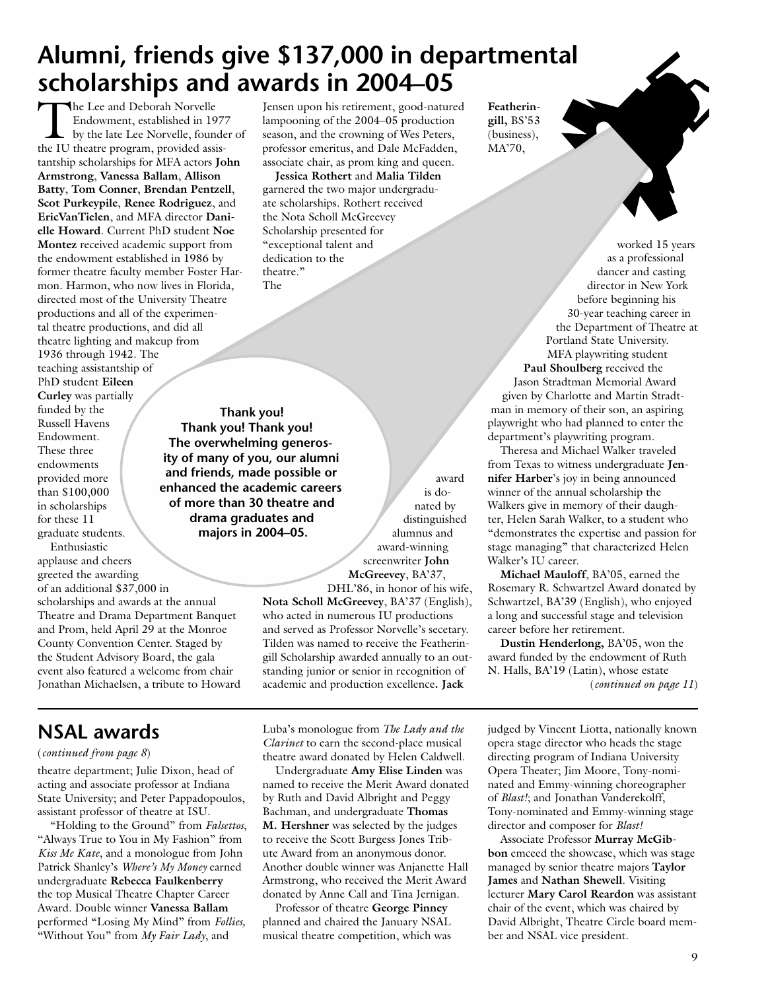# **Alumni, friends give \$137,000 in departmental scholarships and awards in 2004–05**

The Lee and Deborah Norvelle<br>
Endowment, established in 1977<br>
by the late Lee Norvelle, founder of<br>
the III theatre program provided agis Endowment, established in 1977 the IU theatre program, provided assistantship scholarships for MFA actors **John Armstrong**, **Vanessa Ballam**, **Allison Batty**, **Tom Conner**, **Brendan Pentzell**, **Scot Purkeypile**, **Renee Rodriguez**, and **EricVanTielen**, and MFA director **Danielle Howard**. Current PhD student **Noe Montez** received academic support from the endowment established in 1986 by former theatre faculty member Foster Harmon. Harmon, who now lives in Florida, directed most of the University Theatre productions and all of the experimental theatre productions, and did all theatre lighting and makeup from 1936 through 1942. The teaching assistantship of PhD student **Eileen Curley** was partially

funded by the Russell Havens Endowment. These three endowments provided more than \$100,000 in scholarships for these 11 graduate students. Enthusiastic

applause and cheers greeted the awarding of an additional \$37,000 in scholarships and awards at the annual Theatre and Drama Department Banquet and Prom, held April 29 at the Monroe County Convention Center. Staged by the Student Advisory Board, the gala event also featured a welcome from chair Jonathan Michaelsen, a tribute to Howard

## **NSAL awards**

#### (*continued from page 8*)

theatre department; Julie Dixon, head of acting and associate professor at Indiana State University; and Peter Pappadopoulos, assistant professor of theatre at ISU.

"Holding to the Ground" from *Falsettos*, "Always True to You in My Fashion" from *Kiss Me Kate*, and a monologue from John Patrick Shanley's *Where's My Money* earned undergraduate **Rebecca Faulkenberry** the top Musical Theatre Chapter Career Award. Double winner **Vanessa Ballam** performed "Losing My Mind" from *Follies,* "Without You" from *My Fair Lady*, and

Jensen upon his retirement, good-natured lampooning of the 2004–05 production season, and the crowning of Wes Peters, professor emeritus, and Dale McFadden, associate chair, as prom king and queen.

**Jessica Rothert** and **Malia Tilden** garnered the two major undergraduate scholarships. Rothert received the Nota Scholl McGreevey Scholarship presented for "exceptional talent and dedication to the theatre." The

**Thank you! Thank you! Thank you! The overwhelming generosity of many of you, our alumni and friends, made possible or enhanced the academic careers of more than 30 theatre and drama graduates and majors in 2004–05.**

award is donated by distinguished alumnus and award-winning screenwriter **John McGreevey**, BA'37,

DHL'86, in honor of his wife, **Nota Scholl McGreevey**, BA'37 (English), who acted in numerous IU productions and served as Professor Norvelle's secetary. Tilden was named to receive the Featheringill Scholarship awarded annually to an outstanding junior or senior in recognition of academic and production excellence**. Jack** 

Luba's monologue from *The Lady and the Clarinet* to earn the second-place musical theatre award donated by Helen Caldwell.

Undergraduate **Amy Elise Linden** was named to receive the Merit Award donated by Ruth and David Albright and Peggy Bachman, and undergraduate **Thomas M. Hershner** was selected by the judges to receive the Scott Burgess Jones Tribute Award from an anonymous donor. Another double winner was Anjanette Hall Armstrong, who received the Merit Award donated by Anne Call and Tina Jernigan.

Professor of theatre **George Pinney** planned and chaired the January NSAL musical theatre competition, which was **Featheringill,** BS'53 (business), MA'70,

worked 15 years as a professional dancer and casting director in New York before beginning his 30-year teaching career in the Department of Theatre at Portland State University. MFA playwriting student **Paul Shoulberg** received the Jason Stradtman Memorial Award given by Charlotte and Martin Stradtman in memory of their son, an aspiring playwright who had planned to enter the department's playwriting program.

Theresa and Michael Walker traveled from Texas to witness undergraduate **Jennifer Harber**'s joy in being announced winner of the annual scholarship the Walkers give in memory of their daughter, Helen Sarah Walker, to a student who "demonstrates the expertise and passion for stage managing" that characterized Helen Walker's IU career.

**Michael Mauloff**, BA'05, earned the Rosemary R. Schwartzel Award donated by Schwartzel, BA'39 (English), who enjoyed a long and successful stage and television career before her retirement.

**Dustin Henderlong,** BA'05, won the award funded by the endowment of Ruth N. Halls, BA'19 (Latin), whose estate (*continued on page 11*)

judged by Vincent Liotta, nationally known opera stage director who heads the stage directing program of Indiana University Opera Theater; Jim Moore, Tony-nominated and Emmy-winning choreographer of *Blast!*; and Jonathan Vanderekolff, Tony-nominated and Emmy-winning stage director and composer for *Blast!*

Associate Professor **Murray McGibbon** emceed the showcase, which was stage managed by senior theatre majors **Taylor James** and **Nathan Shewell**. Visiting lecturer **Mary Carol Reardon** was assistant chair of the event, which was chaired by David Albright, Theatre Circle board member and NSAL vice president.

9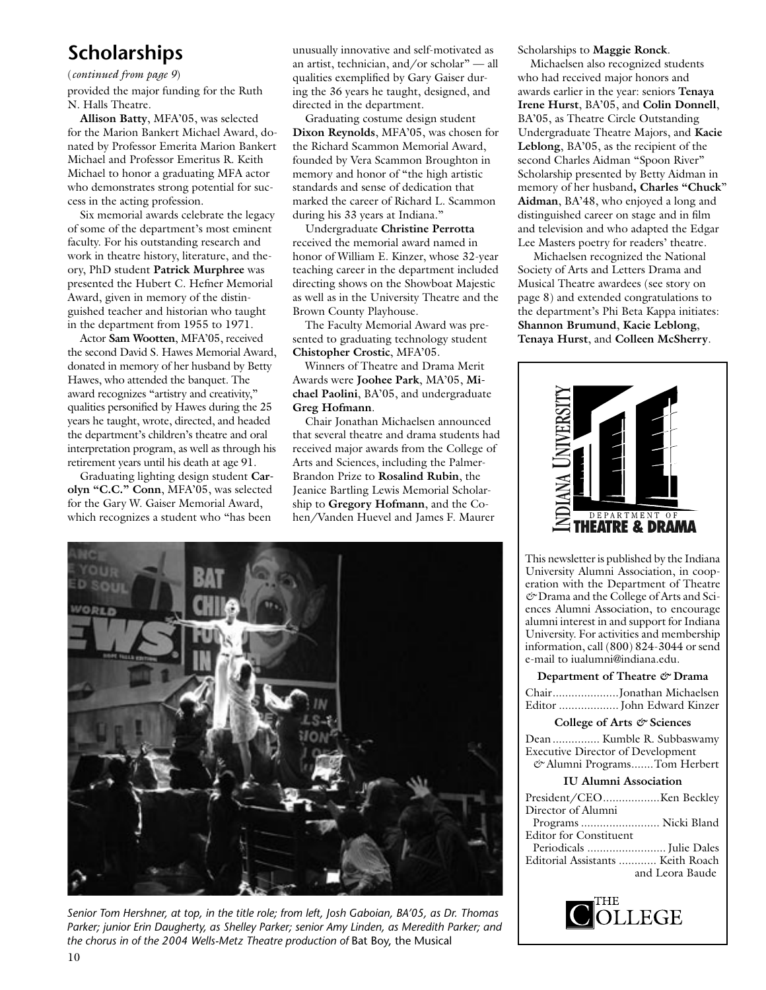## **Scholarships**

#### (*continued from page 9*)

provided the major funding for the Ruth N. Halls Theatre.

**Allison Batty**, MFA'05, was selected for the Marion Bankert Michael Award, donated by Professor Emerita Marion Bankert Michael and Professor Emeritus R. Keith Michael to honor a graduating MFA actor who demonstrates strong potential for success in the acting profession.

Six memorial awards celebrate the legacy of some of the department's most eminent faculty. For his outstanding research and work in theatre history, literature, and theory, PhD student **Patrick Murphree** was presented the Hubert C. Hefner Memorial Award, given in memory of the distinguished teacher and historian who taught in the department from 1955 to 1971.

Actor **Sam Wootten**, MFA'05, received the second David S. Hawes Memorial Award, donated in memory of her husband by Betty Hawes, who attended the banquet. The award recognizes "artistry and creativity," qualities personified by Hawes during the 25 years he taught, wrote, directed, and headed the department's children's theatre and oral interpretation program, as well as through his retirement years until his death at age 91.

Graduating lighting design student **Carolyn "C.C." Conn**, MFA'05, was selected for the Gary W. Gaiser Memorial Award, which recognizes a student who "has been

unusually innovative and self-motivated as an artist, technician, and/or scholar" — all qualities exemplified by Gary Gaiser during the 36 years he taught, designed, and directed in the department.

Graduating costume design student **Dixon Reynolds**, MFA'05, was chosen for the Richard Scammon Memorial Award, founded by Vera Scammon Broughton in memory and honor of "the high artistic standards and sense of dedication that marked the career of Richard L. Scammon during his 33 years at Indiana."

Undergraduate **Christine Perrotta** received the memorial award named in honor of William E. Kinzer, whose 32-year teaching career in the department included directing shows on the Showboat Majestic as well as in the University Theatre and the Brown County Playhouse.

The Faculty Memorial Award was presented to graduating technology student **Chistopher Crostic**, MFA'05.

Winners of Theatre and Drama Merit Awards were **Joohee Park**, MA'05, **Michael Paolini**, BA'05, and undergraduate **Greg Hofmann**.

Chair Jonathan Michaelsen announced that several theatre and drama students had received major awards from the College of Arts and Sciences, including the Palmer-Brandon Prize to **Rosalind Rubin**, the Jeanice Bartling Lewis Memorial Scholarship to **Gregory Hofmann**, and the Cohen/Vanden Huevel and James F. Maurer



*Senior Tom Hershner, at top, in the title role; from left, Josh Gaboian, BA'05, as Dr. Thomas Parker; junior Erin Daugherty, as Shelley Parker; senior Amy Linden, as Meredith Parker; and the chorus in of the 2004 Wells-Metz Theatre production of* Bat Boy, the Musical

Scholarships to **Maggie Ronck**.

Michaelsen also recognized students who had received major honors and awards earlier in the year: seniors **Tenaya Irene Hurst**, BA'05, and **Colin Donnell**, BA'05, as Theatre Circle Outstanding Undergraduate Theatre Majors, and **Kacie Leblong**, BA'05, as the recipient of the second Charles Aidman "Spoon River" Scholarship presented by Betty Aidman in memory of her husband**, Charles "Chuck**" **Aidman**, BA'48, who enjoyed a long and distinguished career on stage and in film and television and who adapted the Edgar Lee Masters poetry for readers' theatre.

 Michaelsen recognized the National Society of Arts and Letters Drama and Musical Theatre awardees (see story on page 8) and extended congratulations to the department's Phi Beta Kappa initiates: **Shannon Brumund**, **Kacie Leblong**, **Tenaya Hurst**, and **Colleen McSherry**.



This newsletter is published by the Indiana University Alumni Association, in cooperation with the Department of Theatre *&* Drama and the College of Arts and Sciences Alumni Association, to encourage alumni interest in and support for Indiana University. For activities and membership information, call (800) 824-3044 or send e-mail to iualumni@indiana.edu.

#### **Department of Theatre** *&* **Drama**

| ChairJonathan Michaelsen   |
|----------------------------|
| Editor  John Edward Kinzer |

#### **College of Arts** *&* **Sciences**

Dean ............... Kumble R. Subbaswamy Executive Director of Development  *&* Alumni Programs .......Tom Herbert **IU Alumni Association** President/CEO ..................Ken Beckley Director of Alumni Programs ......................... Nicki Bland Editor for Constituent Periodicals ......................... Julie Dales Editorial Assistants ............ Keith Roach and Leora Baude

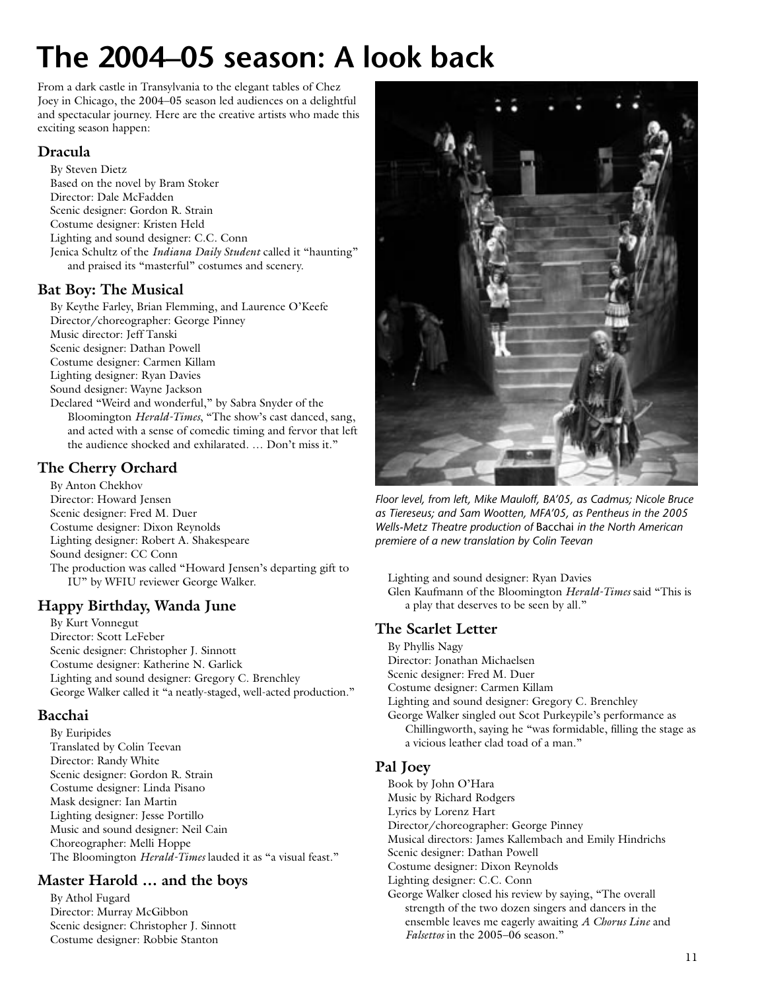# **The 2004–05 season: A look back**

From a dark castle in Transylvania to the elegant tables of Chez Joey in Chicago, the 2004–05 season led audiences on a delightful and spectacular journey. Here are the creative artists who made this exciting season happen:

### **Dracula**

By Steven Dietz Based on the novel by Bram Stoker Director: Dale McFadden Scenic designer: Gordon R. Strain Costume designer: Kristen Held Lighting and sound designer: C.C. Conn Jenica Schultz of the *Indiana Daily Student* called it "haunting" and praised its "masterful" costumes and scenery.

### **Bat Boy: The Musical**

By Keythe Farley, Brian Flemming, and Laurence O'Keefe Director/choreographer: George Pinney Music director: Jeff Tanski Scenic designer: Dathan Powell Costume designer: Carmen Killam Lighting designer: Ryan Davies Sound designer: Wayne Jackson Declared "Weird and wonderful," by Sabra Snyder of the Bloomington *Herald-Times*, "The show's cast danced, sang, and acted with a sense of comedic timing and fervor that left the audience shocked and exhilarated. … Don't miss it."

### **The Cherry Orchard**

By Anton Chekhov Director: Howard Jensen Scenic designer: Fred M. Duer Costume designer: Dixon Reynolds Lighting designer: Robert A. Shakespeare Sound designer: CC Conn The production was called "Howard Jensen's departing gift to IU" by WFIU reviewer George Walker.

## **Happy Birthday, Wanda June**

By Kurt Vonnegut Director: Scott LeFeber Scenic designer: Christopher J. Sinnott Costume designer: Katherine N. Garlick Lighting and sound designer: Gregory C. Brenchley George Walker called it "a neatly-staged, well-acted production."

#### **Bacchai**

By Euripides Translated by Colin Teevan Director: Randy White Scenic designer: Gordon R. Strain Costume designer: Linda Pisano Mask designer: Ian Martin Lighting designer: Jesse Portillo Music and sound designer: Neil Cain Choreographer: Melli Hoppe The Bloomington *Herald-Times* lauded it as "a visual feast."

### **Master Harold … and the boys**

By Athol Fugard Director: Murray McGibbon Scenic designer: Christopher J. Sinnott Costume designer: Robbie Stanton



*Floor level, from left, Mike Mauloff, BA'05, as Cadmus; Nicole Bruce as Tiereseus; and Sam Wootten, MFA'05, as Pentheus in the 2005 Wells-Metz Theatre production of* Bacchai *in the North American premiere of a new translation by Colin Teevan*

Lighting and sound designer: Ryan Davies Glen Kaufmann of the Bloomington *Herald-Times* said "This is a play that deserves to be seen by all."

### **The Scarlet Letter**

- By Phyllis Nagy Director: Jonathan Michaelsen Scenic designer: Fred M. Duer Costume designer: Carmen Killam Lighting and sound designer: Gregory C. Brenchley George Walker singled out Scot Purkeypile's performance as Chillingworth, saying he "was formidable, filling the stage as
- a vicious leather clad toad of a man."

### **Pal Joey**

- Book by John O'Hara
- Music by Richard Rodgers
- Lyrics by Lorenz Hart
- Director/choreographer: George Pinney
- Musical directors: James Kallembach and Emily Hindrichs
- Scenic designer: Dathan Powell
- Costume designer: Dixon Reynolds
- Lighting designer: C.C. Conn
- George Walker closed his review by saying, "The overall strength of the two dozen singers and dancers in the ensemble leaves me eagerly awaiting *A Chorus Line* and *Falsettos* in the 2005–06 season."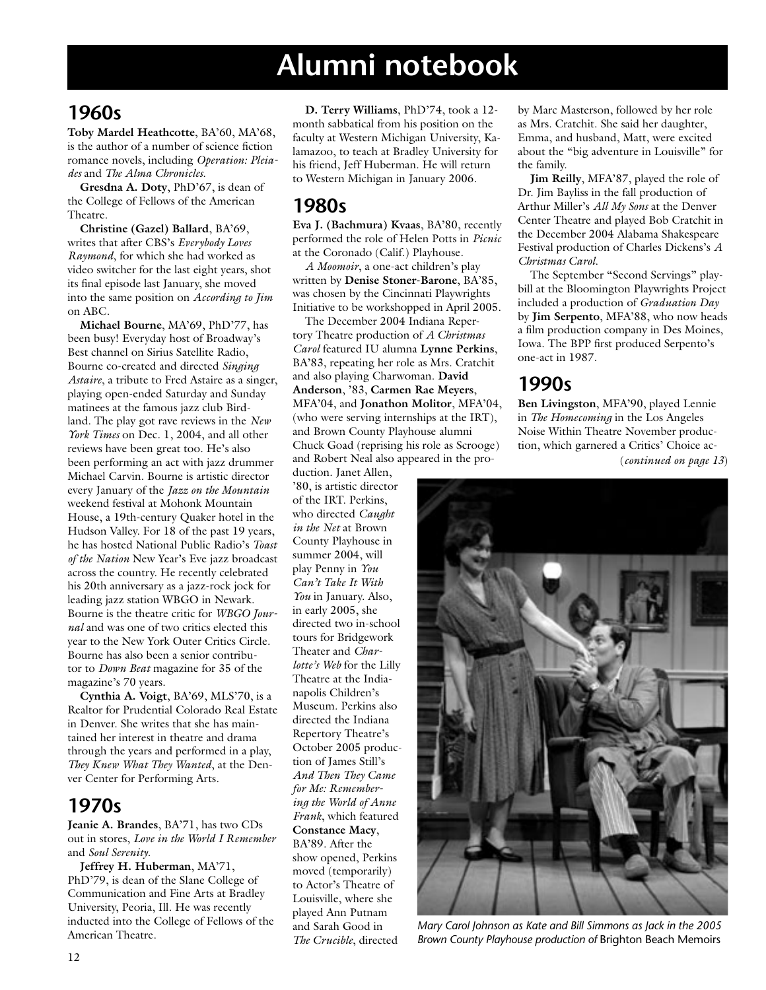## **1960s**

**Toby Mardel Heathcotte**, BA'60, MA'68, is the author of a number of science fiction romance novels, including *Operation: Pleiades* and *The Alma Chronicles.*

**Gresdna A. Doty**, PhD'67, is dean of the College of Fellows of the American Theatre.

**Christine (Gazel) Ballard**, BA'69, writes that after CBS's *Everybody Loves Raymond*, for which she had worked as video switcher for the last eight years, shot its final episode last January, she moved into the same position on *According to Jim* on ABC.

**Michael Bourne**, MA'69, PhD'77, has been busy! Everyday host of Broadway's Best channel on Sirius Satellite Radio, Bourne co-created and directed *Singing Astaire*, a tribute to Fred Astaire as a singer, playing open-ended Saturday and Sunday matinees at the famous jazz club Birdland. The play got rave reviews in the *New York Times* on Dec. 1, 2004, and all other reviews have been great too. He's also been performing an act with jazz drummer Michael Carvin. Bourne is artistic director every January of the *Jazz on the Mountain* weekend festival at Mohonk Mountain House, a 19th-century Quaker hotel in the Hudson Valley. For 18 of the past 19 years, he has hosted National Public Radio's *Toast of the Nation* New Year's Eve jazz broadcast across the country. He recently celebrated his 20th anniversary as a jazz-rock jock for leading jazz station WBGO in Newark. Bourne is the theatre critic for *WBGO Journal* and was one of two critics elected this year to the New York Outer Critics Circle. Bourne has also been a senior contributor to *Down Beat* magazine for 35 of the magazine's 70 years.

**Cynthia A. Voigt**, BA'69, MLS'70, is a Realtor for Prudential Colorado Real Estate in Denver. She writes that she has maintained her interest in theatre and drama through the years and performed in a play, *They Knew What They Wanted*, at the Denver Center for Performing Arts.

## **1970s**

**Jeanie A. Brandes**, BA'71, has two CDs out in stores, *Love in the World I Remember* and *Soul Serenity*.

**Jeffrey H. Huberman**, MA'71, PhD'79, is dean of the Slane College of Communication and Fine Arts at Bradley University, Peoria, Ill. He was recently inducted into the College of Fellows of the American Theatre.

**D. Terry Williams**, PhD'74, took a 12 month sabbatical from his position on the faculty at Western Michigan University, Kalamazoo, to teach at Bradley University for his friend, Jeff Huberman. He will return to Western Michigan in January 2006.

## **1980s**

**Eva J. (Bachmura) Kvaas**, BA'80, recently performed the role of Helen Potts in *Picnic* at the Coronado (Calif.) Playhouse.

*A Moomoir*, a one-act children's play written by **Denise Stoner-Barone**, BA'85, was chosen by the Cincinnati Playwrights Initiative to be workshopped in April 2005.

The December 2004 Indiana Repertory Theatre production of *A Christmas Carol* featured IU alumna **Lynne Perkins**, BA'83, repeating her role as Mrs. Cratchit and also playing Charwoman. **David Anderson**, '83, **Carmen Rae Meyers**, MFA'04, and **Jonathon Molitor**, MFA'04, (who were serving internships at the IRT), and Brown County Playhouse alumni Chuck Goad (reprising his role as Scrooge) and Robert Neal also appeared in the pro-

duction. Janet Allen, '80, is artistic director of the IRT. Perkins, who directed *Caught in the Net* at Brown County Playhouse in summer 2004, will play Penny in *You Can't Take It With You* in January. Also, in early 2005, she directed two in-school tours for Bridgework Theater and *Charlotte's Web* for the Lilly Theatre at the Indianapolis Children's Museum. Perkins also directed the Indiana Repertory Theatre's October 2005 production of James Still's *And Then They Came for Me: Remembering the World of Anne Frank*, which featured **Constance Macy**, BA'89. After the show opened, Perkins moved (temporarily) to Actor's Theatre of Louisville, where she played Ann Putnam and Sarah Good in *The Crucible*, directed

by Marc Masterson, followed by her role as Mrs. Cratchit. She said her daughter, Emma, and husband, Matt, were excited about the "big adventure in Louisville" for the family.

**Jim Reilly**, MFA'87, played the role of Dr. Jim Bayliss in the fall production of Arthur Miller's *All My Sons* at the Denver Center Theatre and played Bob Cratchit in the December 2004 Alabama Shakespeare Festival production of Charles Dickens's *A Christmas Carol*.

The September "Second Servings" playbill at the Bloomington Playwrights Project included a production of *Graduation Day* by **Jim Serpento**, MFA'88, who now heads a film production company in Des Moines, Iowa. The BPP first produced Serpento's one-act in 1987.

## **1990s**

(*continued on page 13*) **Ben Livingston**, MFA'90, played Lennie in *The Homecoming* in the Los Angeles Noise Within Theatre November production, which garnered a Critics' Choice ac-



*Mary Carol Johnson as Kate and Bill Simmons as Jack in the 2005 Brown County Playhouse production of* Brighton Beach Memoirs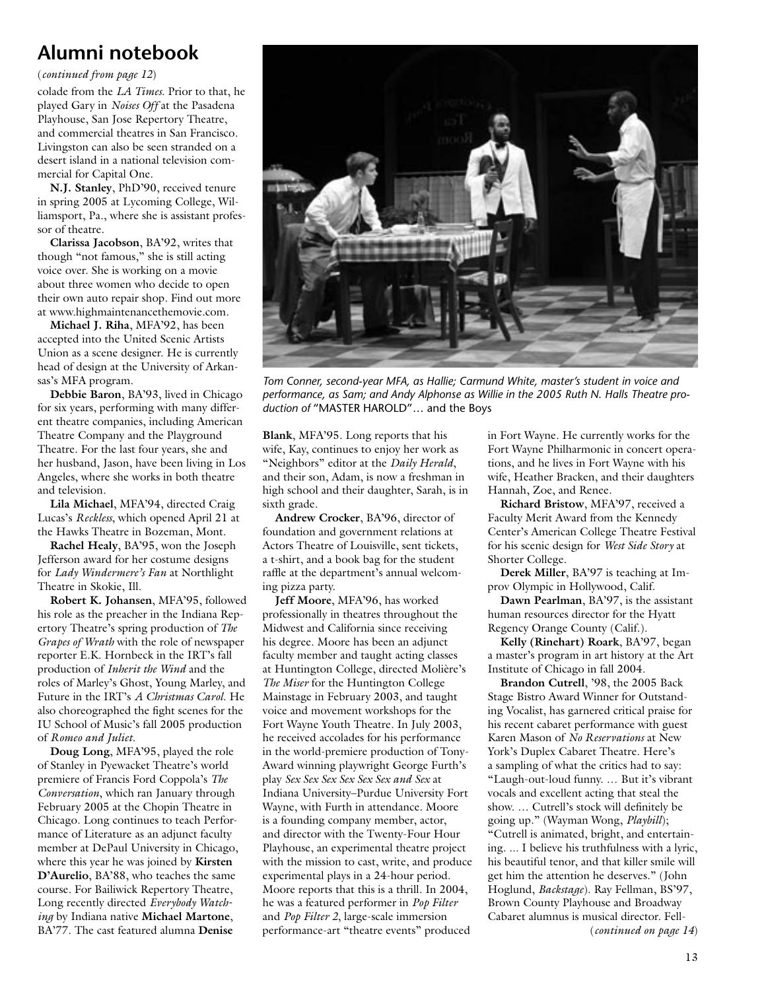(*continued from page 12*)

colade from the *LA Times*. Prior to that, he played Gary in *Noises Off* at the Pasadena Playhouse, San Jose Repertory Theatre, and commercial theatres in San Francisco. Livingston can also be seen stranded on a desert island in a national television commercial for Capital One.

**N.J. Stanley**, PhD'90, received tenure in spring 2005 at Lycoming College, Williamsport, Pa., where she is assistant professor of theatre.

**Clarissa Jacobson**, BA'92, writes that though "not famous," she is still acting voice over. She is working on a movie about three women who decide to open their own auto repair shop. Find out more at www.highmaintenancethemovie.com.

**Michael J. Riha**, MFA'92, has been accepted into the United Scenic Artists Union as a scene designer. He is currently head of design at the University of Arkansas's MFA program.

**Debbie Baron**, BA'93, lived in Chicago for six years, performing with many different theatre companies, including American Theatre Company and the Playground Theatre. For the last four years, she and her husband, Jason, have been living in Los Angeles, where she works in both theatre and television.

**Lila Michael**, MFA'94, directed Craig Lucas's *Reckless*, which opened April 21 at the Hawks Theatre in Bozeman, Mont.

**Rachel Healy**, BA'95, won the Joseph Jefferson award for her costume designs for *Lady Windermere's Fan* at Northlight Theatre in Skokie, Ill.

**Robert K. Johansen**, MFA'95, followed his role as the preacher in the Indiana Repertory Theatre's spring production of *The Grapes of Wrath* with the role of newspaper reporter E.K. Hornbeck in the IRT's fall production of *Inherit the Wind* and the roles of Marley's Ghost, Young Marley, and Future in the IRT's *A Christmas Carol*. He also choreographed the fight scenes for the IU School of Music's fall 2005 production of *Romeo and Juliet*.

**Doug Long**, MFA'95, played the role of Stanley in Pyewacket Theatre's world premiere of Francis Ford Coppola's *The Conversation*, which ran January through February 2005 at the Chopin Theatre in Chicago. Long continues to teach Performance of Literature as an adjunct faculty member at DePaul University in Chicago, where this year he was joined by **Kirsten D'Aurelio**, BA'88, who teaches the same course. For Bailiwick Repertory Theatre, Long recently directed *Everybody Watching* by Indiana native **Michael Martone**, BA'77. The cast featured alumna **Denise** 



*Tom Conner, second-year MFA, as Hallie; Carmund White, master's student in voice and performance, as Sam; and Andy Alphonse as Willie in the 2005 Ruth N. Halls Theatre production of* "MASTER HAROLD"… and the Boys

**Blank**, MFA'95. Long reports that his wife, Kay, continues to enjoy her work as "Neighbors" editor at the *Daily Herald*, and their son, Adam, is now a freshman in high school and their daughter, Sarah, is in sixth grade.

**Andrew Crocker**, BA'96, director of foundation and government relations at Actors Theatre of Louisville, sent tickets, a t-shirt, and a book bag for the student raffle at the department's annual welcoming pizza party.

**Jeff Moore**, MFA'96, has worked professionally in theatres throughout the Midwest and California since receiving his degree. Moore has been an adjunct faculty member and taught acting classes at Huntington College, directed Molière's *The Miser* for the Huntington College Mainstage in February 2003, and taught voice and movement workshops for the Fort Wayne Youth Theatre. In July 2003, he received accolades for his performance in the world-premiere production of Tony-Award winning playwright George Furth's play *Sex Sex Sex Sex Sex Sex and Sex* at Indiana University–Purdue University Fort Wayne, with Furth in attendance. Moore is a founding company member, actor, and director with the Twenty-Four Hour Playhouse, an experimental theatre project with the mission to cast, write, and produce experimental plays in a 24-hour period. Moore reports that this is a thrill. In 2004, he was a featured performer in *Pop Filter* and *Pop Filter 2*, large-scale immersion performance-art "theatre events" produced

in Fort Wayne. He currently works for the Fort Wayne Philharmonic in concert operations, and he lives in Fort Wayne with his wife, Heather Bracken, and their daughters Hannah, Zoe, and Renee.

**Richard Bristow**, MFA'97, received a Faculty Merit Award from the Kennedy Center's American College Theatre Festival for his scenic design for *West Side Story* at Shorter College.

**Derek Miller**, BA'97 is teaching at Improv Olympic in Hollywood, Calif.

**Dawn Pearlman**, BA'97, is the assistant human resources director for the Hyatt Regency Orange County (Calif.).

**Kelly (Rinehart) Roark**, BA'97, began a master's program in art history at the Art Institute of Chicago in fall 2004.

**Brandon Cutrell**, '98, the 2005 Back Stage Bistro Award Winner for Outstanding Vocalist, has garnered critical praise for his recent cabaret performance with guest Karen Mason of *No Reservations* at New York's Duplex Cabaret Theatre. Here's a sampling of what the critics had to say: "Laugh-out-loud funny. … But it's vibrant vocals and excellent acting that steal the show. … Cutrell's stock will definitely be going up." (Wayman Wong, *Playbill*); "Cutrell is animated, bright, and entertaining. ... I believe his truthfulness with a lyric, his beautiful tenor, and that killer smile will get him the attention he deserves." (John Hoglund, *Backstage*). Ray Fellman, BS'97, Brown County Playhouse and Broadway Cabaret alumnus is musical director. Fell-(*continued on page 14*)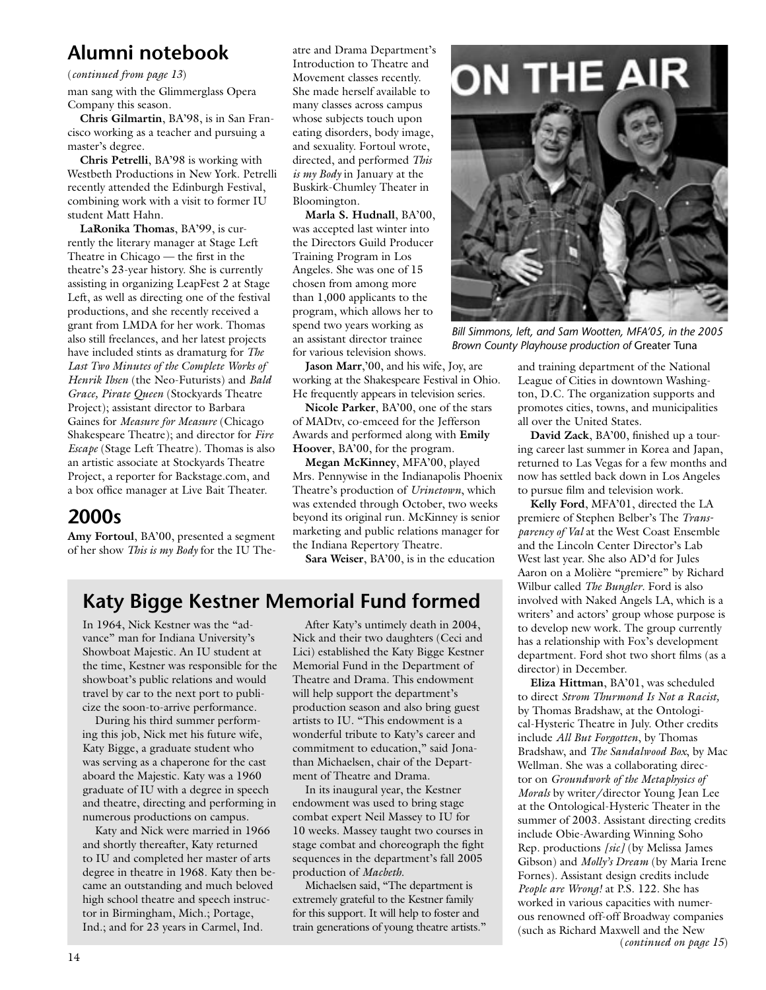(*continued from page 13*)

man sang with the Glimmerglass Opera Company this season.

**Chris Gilmartin**, BA'98, is in San Francisco working as a teacher and pursuing a master's degree.

**Chris Petrelli**, BA'98 is working with Westbeth Productions in New York. Petrelli recently attended the Edinburgh Festival, combining work with a visit to former IU student Matt Hahn.

**LaRonika Thomas**, BA'99, is currently the literary manager at Stage Left Theatre in Chicago — the first in the theatre's 23-year history. She is currently assisting in organizing LeapFest 2 at Stage Left, as well as directing one of the festival productions, and she recently received a grant from LMDA for her work. Thomas also still freelances, and her latest projects have included stints as dramaturg for *The Last Two Minutes of the Complete Works of Henrik Ibsen* (the Neo-Futurists) and *Bald Grace, Pirate Queen* (Stockyards Theatre Project); assistant director to Barbara Gaines for *Measure for Measure* (Chicago Shakespeare Theatre); and director for *Fire Escape* (Stage Left Theatre). Thomas is also an artistic associate at Stockyards Theatre Project, a reporter for Backstage.com, and a box office manager at Live Bait Theater.

## **2000s**

**Amy Fortoul**, BA'00, presented a segment of her show *This is my Body* for the IU Theatre and Drama Department's Introduction to Theatre and Movement classes recently. She made herself available to many classes across campus whose subjects touch upon eating disorders, body image, and sexuality. Fortoul wrote, directed, and performed *This is my Body* in January at the Buskirk-Chumley Theater in Bloomington.

**Marla S. Hudnall**, BA'00, was accepted last winter into the Directors Guild Producer Training Program in Los Angeles. She was one of 15 chosen from among more than 1,000 applicants to the program, which allows her to spend two years working as an assistant director trainee for various television shows.

**Jason Marr**,'00, and his wife, Joy, are working at the Shakespeare Festival in Ohio. He frequently appears in television series.

**Nicole Parker**, BA'00, one of the stars of MADtv, co-emceed for the Jefferson Awards and performed along with **Emily Hoover**, BA'00, for the program.

**Megan McKinney**, MFA'00, played Mrs. Pennywise in the Indianapolis Phoenix Theatre's production of *Urinetown*, which was extended through October, two weeks beyond its original run. McKinney is senior marketing and public relations manager for the Indiana Repertory Theatre.

**Sara Weiser**, BA'00, is in the education

## **Katy Bigge Kestner Memorial Fund formed**

In 1964, Nick Kestner was the "advance" man for Indiana University's Showboat Majestic. An IU student at the time, Kestner was responsible for the showboat's public relations and would travel by car to the next port to publicize the soon-to-arrive performance.

During his third summer performing this job, Nick met his future wife, Katy Bigge, a graduate student who was serving as a chaperone for the cast aboard the Majestic. Katy was a 1960 graduate of IU with a degree in speech and theatre, directing and performing in numerous productions on campus.

Katy and Nick were married in 1966 and shortly thereafter, Katy returned to IU and completed her master of arts degree in theatre in 1968. Katy then became an outstanding and much beloved high school theatre and speech instructor in Birmingham, Mich.; Portage, Ind.; and for 23 years in Carmel, Ind.

After Katy's untimely death in 2004, Nick and their two daughters (Ceci and Lici) established the Katy Bigge Kestner Memorial Fund in the Department of Theatre and Drama. This endowment will help support the department's production season and also bring guest artists to IU. "This endowment is a wonderful tribute to Katy's career and commitment to education," said Jonathan Michaelsen, chair of the Department of Theatre and Drama.

In its inaugural year, the Kestner endowment was used to bring stage combat expert Neil Massey to IU for 10 weeks. Massey taught two courses in stage combat and choreograph the fight sequences in the department's fall 2005 production of *Macbeth*.

Michaelsen said, "The department is extremely grateful to the Kestner family for this support. It will help to foster and train generations of young theatre artists."



*Bill Simmons, left, and Sam Wootten, MFA'05, in the 2005 Brown County Playhouse production of* Greater Tuna

and training department of the National League of Cities in downtown Washington, D.C. The organization supports and promotes cities, towns, and municipalities all over the United States.

**David Zack**, BA'00, finished up a touring career last summer in Korea and Japan, returned to Las Vegas for a few months and now has settled back down in Los Angeles to pursue film and television work.

**Kelly Ford**, MFA'01, directed the LA premiere of Stephen Belber's The *Transparency of Val* at the West Coast Ensemble and the Lincoln Center Director's Lab West last year. She also AD'd for Jules Aaron on a Molière "premiere" by Richard Wilbur called *The Bungler*. Ford is also involved with Naked Angels LA, which is a writers' and actors' group whose purpose is to develop new work. The group currently has a relationship with Fox's development department. Ford shot two short films (as a director) in December.

(*continued on page 15*) **Eliza Hittman**, BA'01, was scheduled to direct *Strom Thurmond Is Not a Racist,*  by Thomas Bradshaw, at the Ontological-Hysteric Theatre in July. Other credits include *All But Forgotten*, by Thomas Bradshaw, and *The Sandalwood Box*, by Mac Wellman. She was a collaborating director on *Groundwork of the Metaphysics of Morals* by writer/director Young Jean Lee at the Ontological-Hysteric Theater in the summer of 2003. Assistant directing credits include Obie-Awarding Winning Soho Rep. productions *[sic]* (by Melissa James Gibson) and *Molly's Dream* (by Maria Irene Fornes). Assistant design credits include *People are Wrong!* at P.S. 122. She has worked in various capacities with numerous renowned off-off Broadway companies (such as Richard Maxwell and the New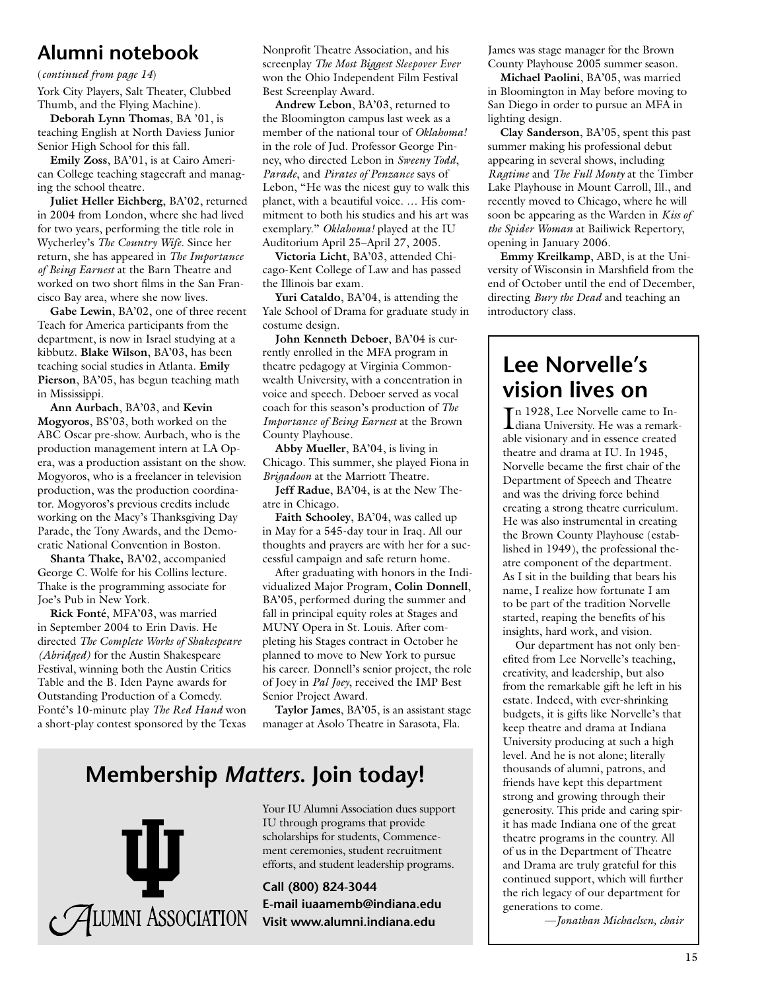#### (*continued from page 14*)

York City Players, Salt Theater, Clubbed Thumb, and the Flying Machine).

**Deborah Lynn Thomas**, BA '01, is teaching English at North Daviess Junior Senior High School for this fall.

**Emily Zoss**, BA'01, is at Cairo American College teaching stagecraft and managing the school theatre.

**Juliet Heller Eichberg**, BA'02, returned in 2004 from London, where she had lived for two years, performing the title role in Wycherley's *The Country Wife*. Since her return, she has appeared in *The Importance of Being Earnest* at the Barn Theatre and worked on two short films in the San Francisco Bay area, where she now lives.

**Gabe Lewin**, BA'02, one of three recent Teach for America participants from the department, is now in Israel studying at a kibbutz. **Blake Wilson**, BA'03, has been teaching social studies in Atlanta. **Emily Pierson**, BA'05, has begun teaching math in Mississippi.

**Ann Aurbach**, BA'03, and **Kevin Mogyoros**, BS'03, both worked on the ABC Oscar pre-show. Aurbach, who is the production management intern at LA Opera, was a production assistant on the show. Mogyoros, who is a freelancer in television production, was the production coordinator. Mogyoros's previous credits include working on the Macy's Thanksgiving Day Parade, the Tony Awards, and the Democratic National Convention in Boston.

**Shanta Thake,** BA'02, accompanied George C. Wolfe for his Collins lecture. Thake is the programming associate for Joe's Pub in New York.

**Rick Fonté**, MFA'03, was married in September 2004 to Erin Davis. He directed *The Complete Works of Shakespeare (Abridged)* for the Austin Shakespeare Festival, winning both the Austin Critics Table and the B. Iden Payne awards for Outstanding Production of a Comedy. Fonté's 10-minute play *The Red Hand* won a short-play contest sponsored by the Texas Nonprofit Theatre Association, and his screenplay *The Most Biggest Sleepover Ever* won the Ohio Independent Film Festival Best Screenplay Award.

**Andrew Lebon**, BA'03, returned to the Bloomington campus last week as a member of the national tour of *Oklahoma!* in the role of Jud. Professor George Pinney, who directed Lebon in *Sweeny Todd*, *Parade*, and *Pirates of Penzance* says of Lebon, "He was the nicest guy to walk this planet, with a beautiful voice. … His commitment to both his studies and his art was exemplary." *Oklahoma!* played at the IU Auditorium April 25–April 27, 2005.

**Victoria Licht**, BA'03, attended Chicago-Kent College of Law and has passed the Illinois bar exam.

**Yuri Cataldo**, BA'04, is attending the Yale School of Drama for graduate study in costume design.

**John Kenneth Deboer**, BA'04 is currently enrolled in the MFA program in theatre pedagogy at Virginia Commonwealth University, with a concentration in voice and speech. Deboer served as vocal coach for this season's production of *The Importance of Being Earnest* at the Brown County Playhouse.

**Abby Mueller**, BA'04, is living in Chicago. This summer, she played Fiona in *Brigadoon* at the Marriott Theatre.

**Jeff Radue**, BA'04, is at the New Theatre in Chicago.

**Faith Schooley**, BA'04, was called up in May for a 545-day tour in Iraq. All our thoughts and prayers are with her for a successful campaign and safe return home.

After graduating with honors in the Individualized Major Program, **Colin Donnell**, BA'05, performed during the summer and fall in principal equity roles at Stages and MUNY Opera in St. Louis. After completing his Stages contract in October he planned to move to New York to pursue his career. Donnell's senior project, the role of Joey in *Pal Joey*, received the IMP Best Senior Project Award.

**Taylor James**, BA'05, is an assistant stage manager at Asolo Theatre in Sarasota, Fla.

# **Membership** *Matters***. Join today!**



Your IU Alumni Association dues support IU through programs that provide scholarships for students, Commencement ceremonies, student recruitment efforts, and student leadership programs.

**Call (800) 824-3044 E-mail iuaamemb@indiana.edu** James was stage manager for the Brown County Playhouse 2005 summer season.

**Michael Paolini**, BA'05, was married in Bloomington in May before moving to San Diego in order to pursue an MFA in lighting design.

**Clay Sanderson**, BA'05, spent this past summer making his professional debut appearing in several shows, including *Ragtime* and *The Full Monty* at the Timber Lake Playhouse in Mount Carroll, Ill., and recently moved to Chicago, where he will soon be appearing as the Warden in *Kiss of the Spider Woman* at Bailiwick Repertory, opening in January 2006.

**Emmy Kreilkamp**, ABD, is at the University of Wisconsin in Marshfield from the end of October until the end of December, directing *Bury the Dead* and teaching an introductory class.

# **Lee Norvelle's vision lives on**

In 1928, Lee Norvelle came to Indiana University. He was a remark diana University. He was a remarkable visionary and in essence created theatre and drama at IU. In 1945, Norvelle became the first chair of the Department of Speech and Theatre and was the driving force behind creating a strong theatre curriculum. He was also instrumental in creating the Brown County Playhouse (established in 1949), the professional theatre component of the department. As I sit in the building that bears his name, I realize how fortunate I am to be part of the tradition Norvelle started, reaping the benefits of his insights, hard work, and vision.

Our department has not only benefited from Lee Norvelle's teaching, creativity, and leadership, but also from the remarkable gift he left in his estate. Indeed, with ever-shrinking budgets, it is gifts like Norvelle's that keep theatre and drama at Indiana University producing at such a high level. And he is not alone; literally thousands of alumni, patrons, and friends have kept this department strong and growing through their generosity. This pride and caring spirit has made Indiana one of the great theatre programs in the country. All of us in the Department of Theatre and Drama are truly grateful for this continued support, which will further the rich legacy of our department for generations to come.

—*Jonathan Michaelsen, chair*